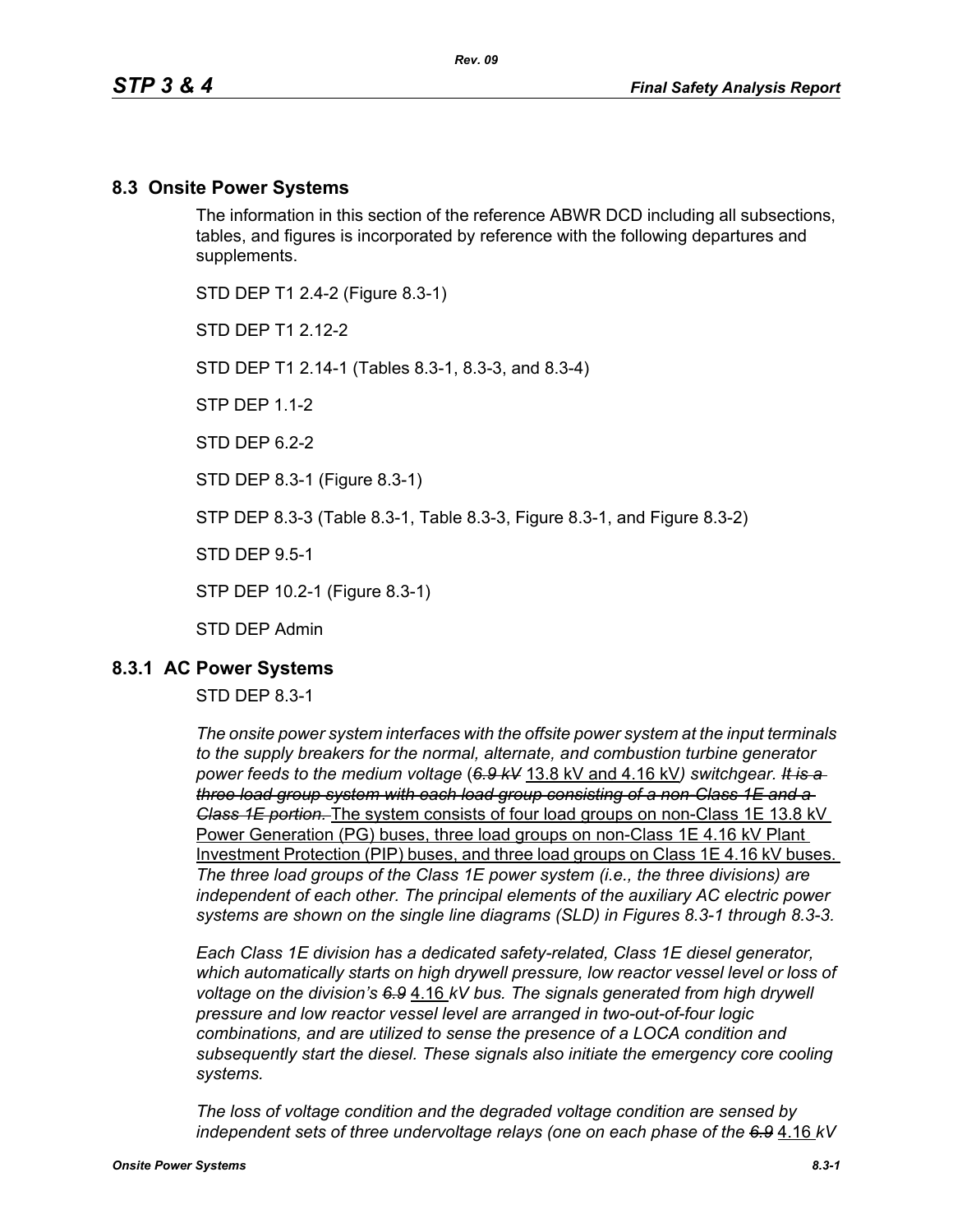#### **8.3 Onsite Power Systems**

The information in this section of the reference ABWR DCD including all subsections, tables, and figures is incorporated by reference with the following departures and supplements.

STD DEP T1 2.4-2 (Figure 8.3-1)

STD DFP T1 2 12-2

STD DEP T1 2.14-1 (Tables 8.3-1, 8.3-3, and 8.3-4)

STP DEP 1.1-2

STD DFP 62-2

STD DEP 8.3-1 (Figure 8.3-1)

STP DEP 8.3-3 (Table 8.3-1, Table 8.3-3, Figure 8.3-1, and Figure 8.3-2)

STD DEP 9.5-1

STP DEP 10.2-1 (Figure 8.3-1)

STD DEP Admin

#### **8.3.1 AC Power Systems**

#### STD DEP 8.3-1

*The onsite power system interfaces with the offsite power system at the input terminals to the supply breakers for the normal, alternate, and combustion turbine generator power feeds to the medium voltage* (*6.9 kV* 13.8 kV and 4.16 kV*) switchgear. It is a three load group system with each load group consisting of a non-Class 1E and a Class 1E portion.* The system consists of four load groups on non-Class 1E 13.8 kV Power Generation (PG) buses, three load groups on non-Class 1E 4.16 kV Plant Investment Protection (PIP) buses, and three load groups on Class 1E 4.16 kV buses. *The three load groups of the Class 1E power system (i.e., the three divisions) are independent of each other. The principal elements of the auxiliary AC electric power systems are shown on the single line diagrams (SLD) in Figures 8.3-1 through 8.3-3.*

*Each Class 1E division has a dedicated safety-related, Class 1E diesel generator, which automatically starts on high drywell pressure, low reactor vessel level or loss of voltage on the division's 6.9* 4.16 *kV bus. The signals generated from high drywell pressure and low reactor vessel level are arranged in two-out-of-four logic combinations, and are utilized to sense the presence of a LOCA condition and subsequently start the diesel. These signals also initiate the emergency core cooling systems.*

*The loss of voltage condition and the degraded voltage condition are sensed by independent sets of three undervoltage relays (one on each phase of the 6.9* 4.16 *kV*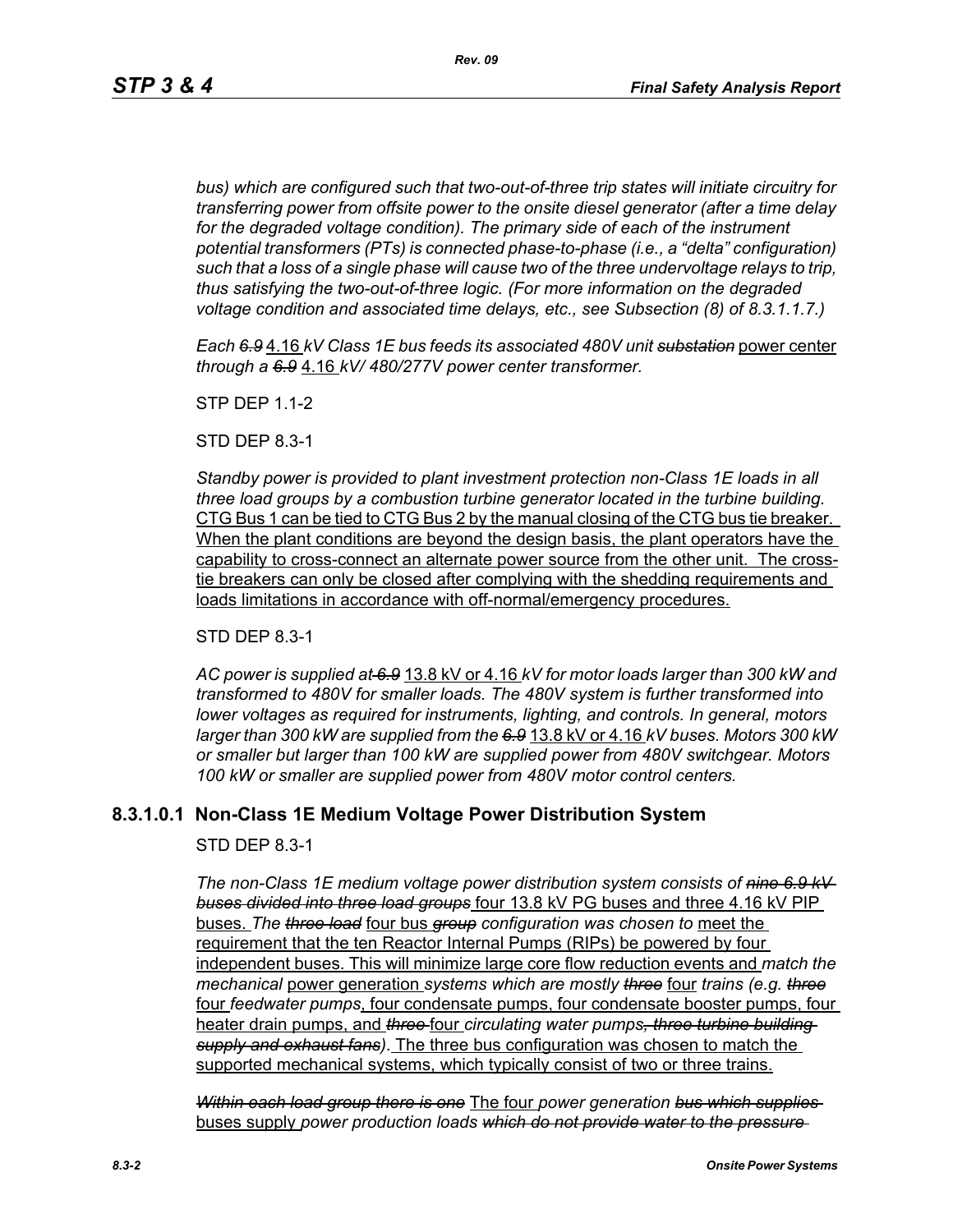*bus) which are configured such that two-out-of-three trip states will initiate circuitry for transferring power from offsite power to the onsite diesel generator (after a time delay*  for the degraded voltage condition). The primary side of each of the instrument *potential transformers (PTs) is connected phase-to-phase (i.e., a "delta" configuration) such that a loss of a single phase will cause two of the three undervoltage relays to trip, thus satisfying the two-out-of-three logic. (For more information on the degraded voltage condition and associated time delays, etc., see Subsection (8) of 8.3.1.1.7.)*

*Each 6.9* 4.16 *kV Class 1E bus feeds its associated 480V unit substation* power center *through a 6.9* 4.16 *kV/ 480/277V power center transformer.*

STP DEP 1.1-2

STD DEP 8.3-1

*Standby power is provided to plant investment protection non-Class 1E loads in all three load groups by a combustion turbine generator located in the turbine building.* CTG Bus 1 can be tied to CTG Bus 2 by the manual closing of the CTG bus tie breaker. When the plant conditions are beyond the design basis, the plant operators have the capability to cross-connect an alternate power source from the other unit. The crosstie breakers can only be closed after complying with the shedding requirements and loads limitations in accordance with off-normal/emergency procedures.

STD DEP 8.3-1

*AC power is supplied at 6.9* 13.8 kV or 4.16 *kV for motor loads larger than 300 kW and transformed to 480V for smaller loads. The 480V system is further transformed into lower voltages as required for instruments, lighting, and controls. In general, motors larger than 300 kW are supplied from the 6.9* 13.8 kV or 4.16 *kV buses. Motors 300 kW or smaller but larger than 100 kW are supplied power from 480V switchgear. Motors 100 kW or smaller are supplied power from 480V motor control centers.*

### **8.3.1.0.1 Non-Class 1E Medium Voltage Power Distribution System**

STD DEP 8.3-1

*The non-Class 1E medium voltage power distribution system consists of nine 6.9 kV buses divided into three load groups* four 13.8 kV PG buses and three 4.16 kV PIP buses. *The three load* four bus *group configuration was chosen to* meet the requirement that the ten Reactor Internal Pumps (RIPs) be powered by four independent buses. This will minimize large core flow reduction events and *match the mechanical* power generation *systems which are mostly three* four *trains (e.g. three* four *feedwater pumps*, four condensate pumps, four condensate booster pumps, four heater drain pumps, and *three* four *circulating water pumps, three turbine building supply and exhaust fans)*. The three bus configuration was chosen to match the supported mechanical systems, which typically consist of two or three trains.

*Within each load group there is one* The four *power generation bus which supplies*  buses supply *power production loads which do not provide water to the pressure*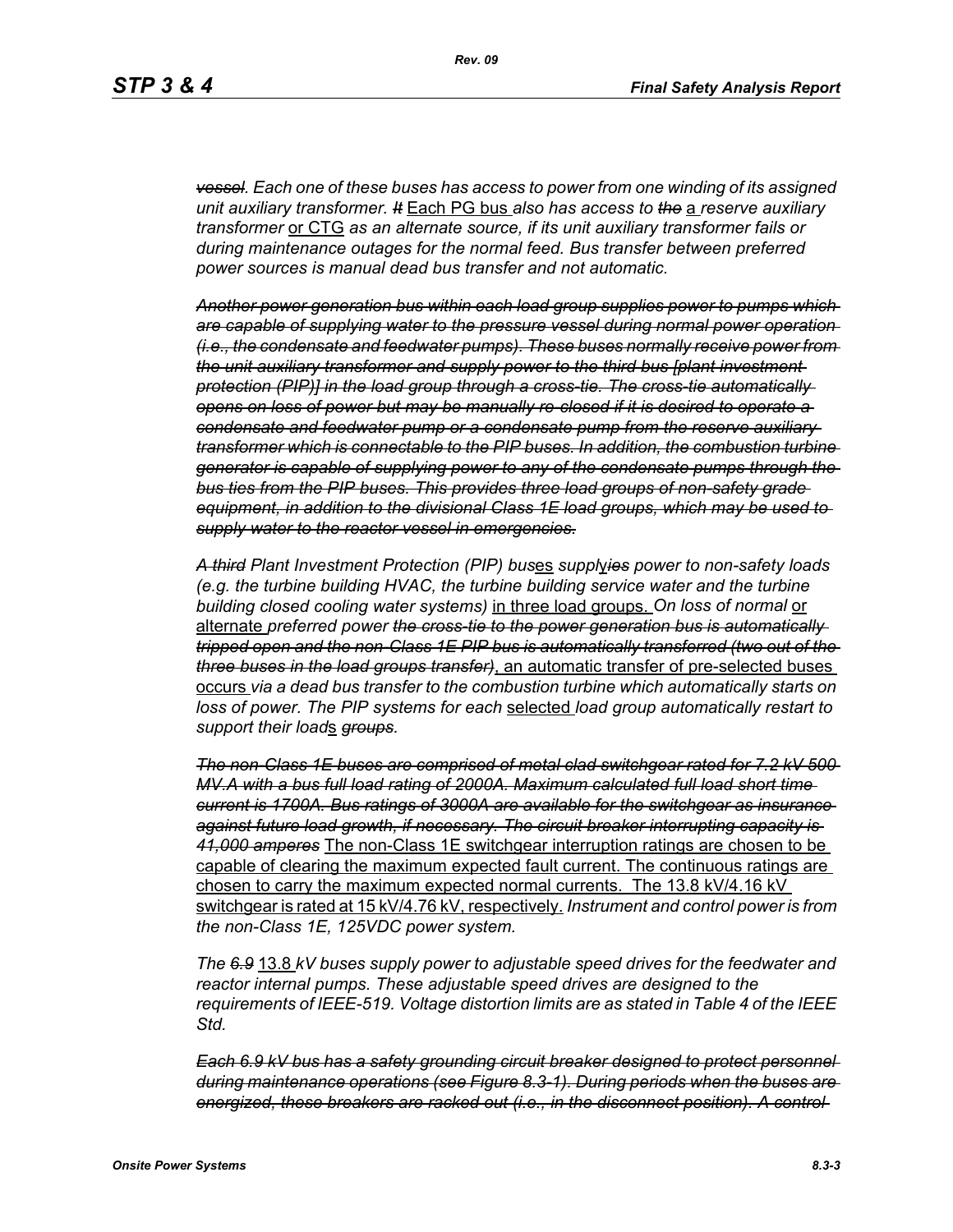*vessel. Each one of these buses has access to power from one winding of its assigned unit auxiliary transformer. It* Each PG bus *also has access to the* a *reserve auxiliary transformer* or CTG *as an alternate source, if its unit auxiliary transformer fails or during maintenance outages for the normal feed. Bus transfer between preferred power sources is manual dead bus transfer and not automatic.*

*Another power generation bus within each load group supplies power to pumps which are capable of supplying water to the pressure vessel during normal power operation (i.e., the condensate and feedwater pumps). These buses normally receive power from the unit auxiliary transformer and supply power to the third bus [plant investment protection (PIP)] in the load group through a cross-tie. The cross-tie automatically opens on loss of power but may be manually re-closed if it is desired to operate a condensate and feedwater pump or a condensate pump from the reserve auxiliary transformer which is connectable to the PIP buses. In addition, the combustion turbine generator is capable of supplying power to any of the condensate pumps through the bus ties from the PIP buses. This provides three load groups of non-safety grade equipment, in addition to the divisional Class 1E load groups, which may be used to supply water to the reactor vessel in emergencies.*

*A third Plant Investment Protection (PIP) bus*es *suppl*y*ies power to non-safety loads (e.g. the turbine building HVAC, the turbine building service water and the turbine building closed cooling water systems)* in three load groups. *On loss of normal* or alternate *preferred power the cross-tie to the power generation bus is automatically tripped open and the non-Class 1E PIP bus is automatically transferred (two out of the three buses in the load groups transfer)*, an automatic transfer of pre-selected buses occurs *via a dead bus transfer to the combustion turbine which automatically starts on loss of power. The PIP systems for each* selected *load group automatically restart to support their load*s *groups.*

*The non-Class 1E buses are comprised of metal clad switchgear rated for 7.2 kV 500 MV.A with a bus full load rating of 2000A. Maximum calculated full load short time current is 1700A. Bus ratings of 3000A are available for the switchgear as insurance against future load growth, if necessary. The circuit breaker interrupting capacity is 41,000 amperes* The non-Class 1E switchgear interruption ratings are chosen to be capable of clearing the maximum expected fault current. The continuous ratings are chosen to carry the maximum expected normal currents. The 13.8 kV/4.16 kV switchgear is rated at 15 kV/4.76 kV, respectively. *Instrument and control power is from the non-Class 1E, 125VDC power system.*

*The 6.9* 13.8 *kV buses supply power to adjustable speed drives for the feedwater and reactor internal pumps. These adjustable speed drives are designed to the requirements of IEEE-519. Voltage distortion limits are as stated in Table 4 of the IEEE Std.*

*Each 6.9 kV bus has a safety grounding circuit breaker designed to protect personnel during maintenance operations (see Figure 8.3-1). During periods when the buses are energized, these breakers are racked out (i.e., in the disconnect position). A control*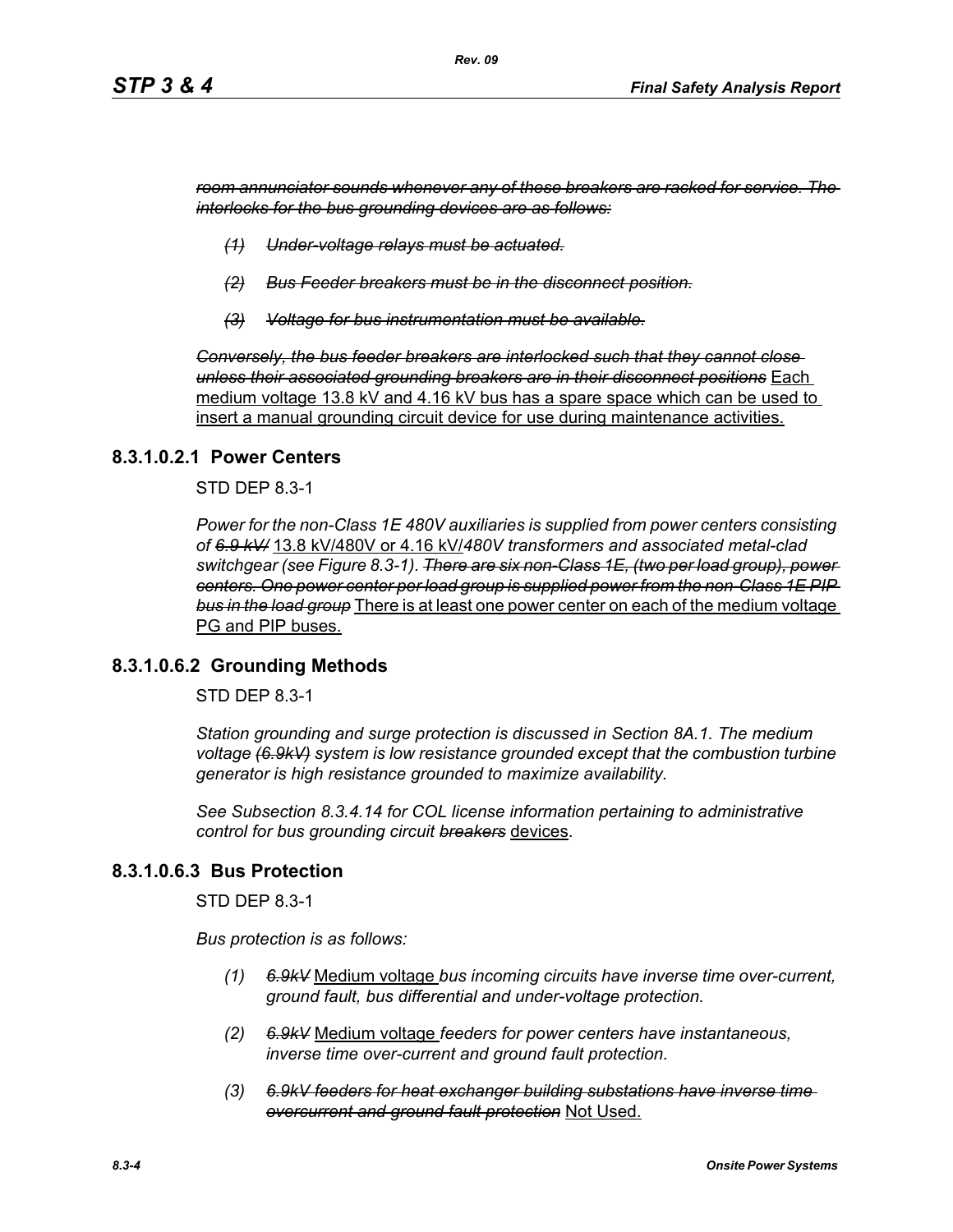*room annunciator sounds whenever any of these breakers are racked for service. The interlocks for the bus grounding devices are as follows:*

- *(1) Under-voltage relays must be actuated.*
- *(2) Bus Feeder breakers must be in the disconnect position.*
- *(3) Voltage for bus instrumentation must be available.*

*Conversely, the bus feeder breakers are interlocked such that they cannot close unless their associated grounding breakers are in their disconnect positions* Each medium voltage 13.8 kV and 4.16 kV bus has a spare space which can be used to insert a manual grounding circuit device for use during maintenance activities.

#### **8.3.1.0.2.1 Power Centers**

STD DEP 8.3-1

*Power for the non-Class 1E 480V auxiliaries is supplied from power centers consisting of 6.9 kV/* 13.8 kV/480V or 4.16 kV/*480V transformers and associated metal-clad switchgear (see Figure 8.3-1). There are six non-Class 1E, (two per load group), power centers. One power center per load group is supplied power from the non-Class 1E PIP bus in the load group* There is at least one power center on each of the medium voltage PG and PIP buses.

#### **8.3.1.0.6.2 Grounding Methods**

STD DEP 8.3-1

*Station grounding and surge protection is discussed in Section 8A.1. The medium voltage (6.9kV) system is low resistance grounded except that the combustion turbine generator is high resistance grounded to maximize availability.*

*See Subsection 8.3.4.14 for COL license information pertaining to administrative control for bus grounding circuit breakers* devices.

#### **8.3.1.0.6.3 Bus Protection**

STD DEP 8.3-1

*Bus protection is as follows:*

- *(1) 6.9kV* Medium voltage *bus incoming circuits have inverse time over-current, ground fault, bus differential and under-voltage protection.*
- *(2) 6.9kV* Medium voltage *feeders for power centers have instantaneous, inverse time over-current and ground fault protection.*
- *(3) 6.9kV feeders for heat exchanger building substations have inverse time overcurrent and ground fault protection* Not Used.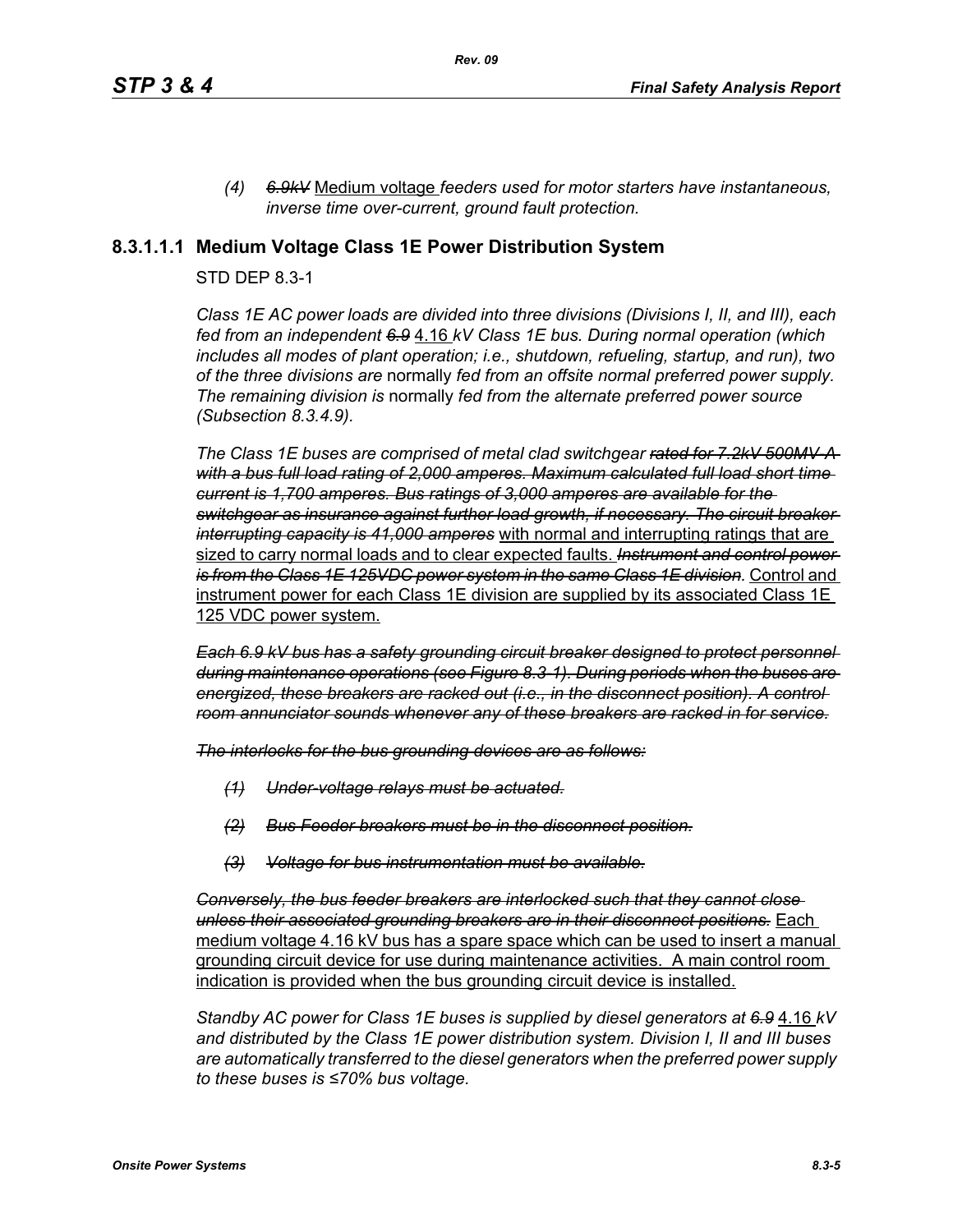*(4) 6.9kV* Medium voltage *feeders used for motor starters have instantaneous, inverse time over-current, ground fault protection.*

### **8.3.1.1.1 Medium Voltage Class 1E Power Distribution System**

#### STD DEP 8.3-1

*Class 1E AC power loads are divided into three divisions (Divisions I, II, and III), each fed from an independent 6.9* 4.16 *kV Class 1E bus. During normal operation (which includes all modes of plant operation; i.e., shutdown, refueling, startup, and run), two of the three divisions are* normally *fed from an offsite normal preferred power supply. The remaining division is* normally *fed from the alternate preferred power source (Subsection 8.3.4.9).*

*The Class 1E buses are comprised of metal clad switchgear rated for 7.2kV 500MV-A with a bus full load rating of 2,000 amperes. Maximum calculated full load short time current is 1,700 amperes. Bus ratings of 3,000 amperes are available for the switchgear as insurance against further load growth, if necessary. The circuit breaker interrupting capacity is 41,000 amperes* with normal and interrupting ratings that are sized to carry normal loads and to clear expected faults. *Instrument and control power is from the Class 1E 125VDC power system in the same Class 1E division.* Control and instrument power for each Class 1E division are supplied by its associated Class 1E 125 VDC power system.

*Each 6.9 kV bus has a safety grounding circuit breaker designed to protect personnel during maintenance operations (see Figure 8.3-1). During periods when the buses are energized, these breakers are racked out (i.e., in the disconnect position). A control room annunciator sounds whenever any of these breakers are racked in for service.*

*The interlocks for the bus grounding devices are as follows:*

- *(1) Under-voltage relays must be actuated.*
- *(2) Bus Feeder breakers must be in the disconnect position.*
- *(3) Voltage for bus instrumentation must be available.*

*Conversely, the bus feeder breakers are interlocked such that they cannot close unless their associated grounding breakers are in their disconnect positions.* Each medium voltage 4.16 kV bus has a spare space which can be used to insert a manual grounding circuit device for use during maintenance activities. A main control room indication is provided when the bus grounding circuit device is installed.

*Standby AC power for Class 1E buses is supplied by diesel generators at 6.9* 4.16 *kV and distributed by the Class 1E power distribution system. Division I, II and III buses are automatically transferred to the diesel generators when the preferred power supply to these buses is ≤70% bus voltage.*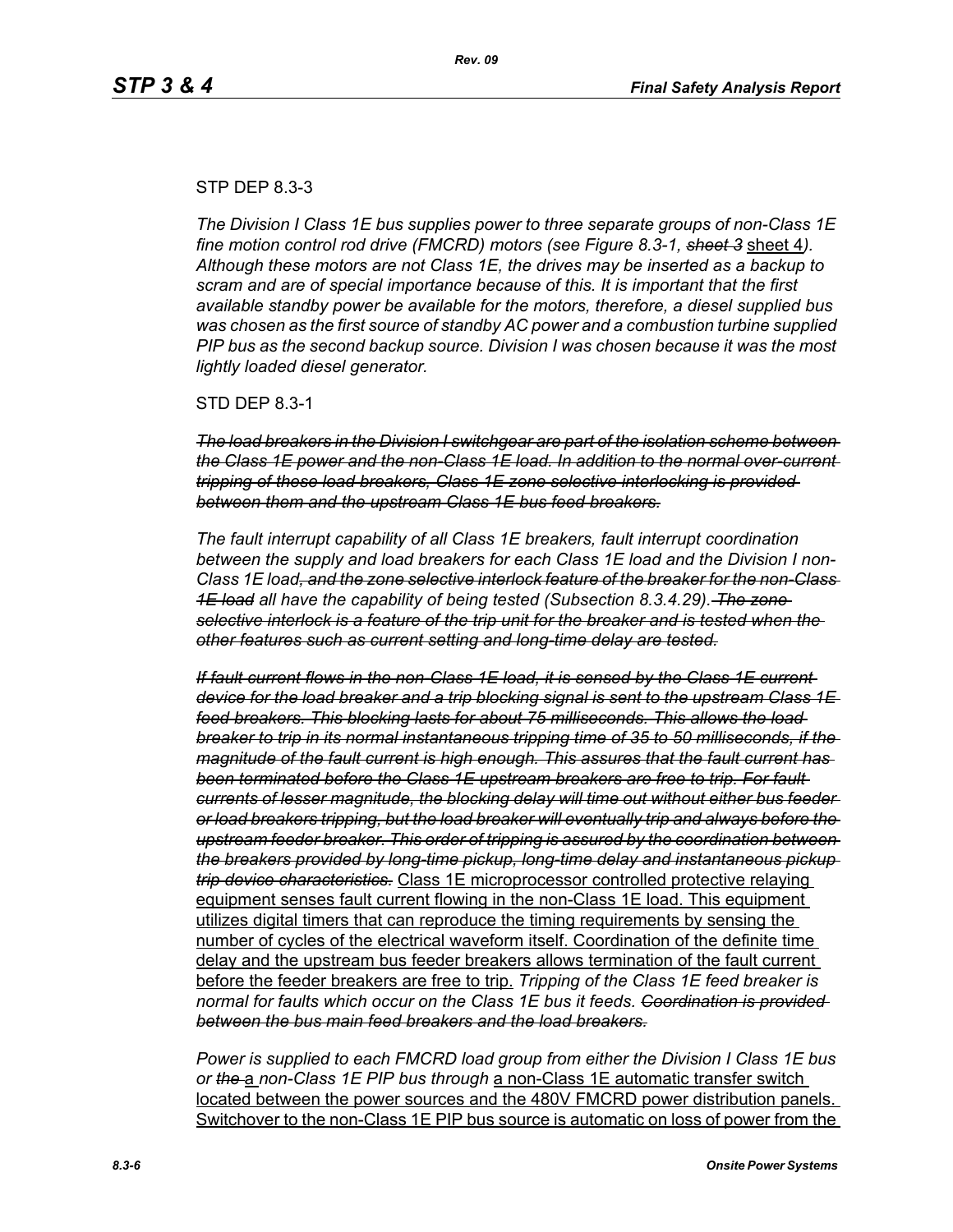#### STP DEP 8.3-3

*The Division I Class 1E bus supplies power to three separate groups of non-Class 1E fine motion control rod drive (FMCRD) motors (see Figure 8.3-1, sheet 3* sheet 4*). Although these motors are not Class 1E, the drives may be inserted as a backup to scram and are of special importance because of this. It is important that the first available standby power be available for the motors, therefore, a diesel supplied bus was chosen as the first source of standby AC power and a combustion turbine supplied PIP bus as the second backup source. Division I was chosen because it was the most lightly loaded diesel generator.*

STD DEP 8.3-1

*The load breakers in the Division I switchgear are part of the isolation scheme between the Class 1E power and the non-Class 1E load. In addition to the normal over-current tripping of these load breakers, Class 1E zone selective interlocking is provided between them and the upstream Class 1E bus feed breakers.*

*The fault interrupt capability of all Class 1E breakers, fault interrupt coordination between the supply and load breakers for each Class 1E load and the Division I non-Class 1E load, and the zone selective interlock feature of the breaker for the non-Class 1E load all have the capability of being tested (Subsection 8.3.4.29). The zone selective interlock is a feature of the trip unit for the breaker and is tested when the other features such as current setting and long-time delay are tested.*

*If fault current flows in the non-Class 1E load, it is sensed by the Class 1E current device for the load breaker and a trip blocking signal is sent to the upstream Class 1E feed breakers. This blocking lasts for about 75 milliseconds. This allows the load breaker to trip in its normal instantaneous tripping time of 35 to 50 milliseconds, if the magnitude of the fault current is high enough. This assures that the fault current has been terminated before the Class 1E upstream breakers are free to trip. For fault currents of lesser magnitude, the blocking delay will time out without either bus feeder or load breakers tripping, but the load breaker will eventually trip and always before the upstream feeder breaker. This order of tripping is assured by the coordination between the breakers provided by long-time pickup, long-time delay and instantaneous pickup trip device characteristics.* Class 1E microprocessor controlled protective relaying equipment senses fault current flowing in the non-Class 1E load. This equipment utilizes digital timers that can reproduce the timing requirements by sensing the number of cycles of the electrical waveform itself. Coordination of the definite time delay and the upstream bus feeder breakers allows termination of the fault current before the feeder breakers are free to trip. *Tripping of the Class 1E feed breaker is normal for faults which occur on the Class 1E bus it feeds. Coordination is provided between the bus main feed breakers and the load breakers.*

*Power is supplied to each FMCRD load group from either the Division I Class 1E bus or the* a *non-Class 1E PIP bus through* a non-Class 1E automatic transfer switch located between the power sources and the 480V FMCRD power distribution panels. Switchover to the non-Class 1E PIP bus source is automatic on loss of power from the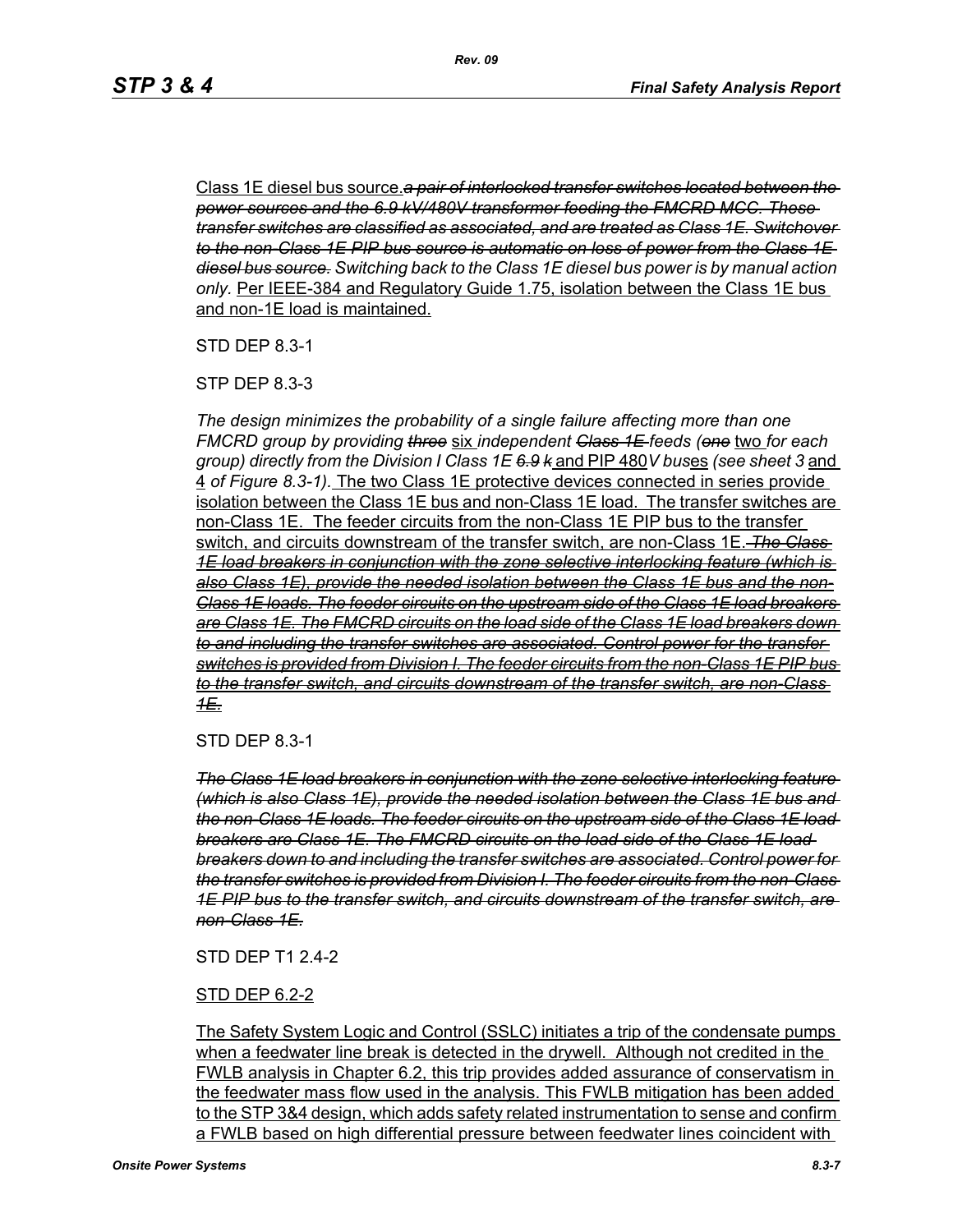Class 1E diesel bus source.*a pair of interlocked transfer switches located between the power sources and the 6.9 kV/480V transformer feeding the FMCRD MCC. These transfer switches are classified as associated, and are treated as Class 1E. Switchover to the non-Class 1E PIP bus source is automatic on loss of power from the Class 1E diesel bus source. Switching back to the Class 1E diesel bus power is by manual action only.* Per IEEE-384 and Regulatory Guide 1.75, isolation between the Class 1E bus and non-1E load is maintained.

STD DEP 8.3-1

STP DEP 8.3-3

*The design minimizes the probability of a single failure affecting more than one FMCRD group by providing three* six *independent Class 1E feeds (one* two *for each group) directly from the Division I Class 1E 6.9 k* and PIP 480*V bus*es *(see sheet 3* and 4 *of Figure 8.3-1).* The two Class 1E protective devices connected in series provide isolation between the Class 1E bus and non-Class 1E load. The transfer switches are non-Class 1E. The feeder circuits from the non-Class 1E PIP bus to the transfer switch, and circuits downstream of the transfer switch, are non-Class 1E. *The Class 1E load breakers in conjunction with the zone selective interlocking feature (which is also Class 1E), provide the needed isolation between the Class 1E bus and the non-Class 1E loads. The feeder circuits on the upstream side of the Class 1E load breakers are Class 1E. The FMCRD circuits on the load side of the Class 1E load breakers down to and including the transfer switches are associated. Control power for the transfer switches is provided from Division I. The feeder circuits from the non-Class 1E PIP bus to the transfer switch, and circuits downstream of the transfer switch, are non-Class 1E.*

STD DEP 8.3-1

*The Class 1E load breakers in conjunction with the zone selective interlocking feature (which is also Class 1E), provide the needed isolation between the Class 1E bus and the non-Class 1E loads. The feeder circuits on the upstream side of the Class 1E load breakers are Class 1E. The FMCRD circuits on the load side of the Class 1E load breakers down to and including the transfer switches are associated. Control power for the transfer switches is provided from Division I. The feeder circuits from the non-Class 1E PIP bus to the transfer switch, and circuits downstream of the transfer switch, are non-Class 1E.*

#### STD DEP T1 2.4-2

#### STD DEP 6.2-2

The Safety System Logic and Control (SSLC) initiates a trip of the condensate pumps when a feedwater line break is detected in the drywell. Although not credited in the FWLB analysis in Chapter 6.2, this trip provides added assurance of conservatism in the feedwater mass flow used in the analysis. This FWLB mitigation has been added to the STP 3&4 design, which adds safety related instrumentation to sense and confirm a FWLB based on high differential pressure between feedwater lines coincident with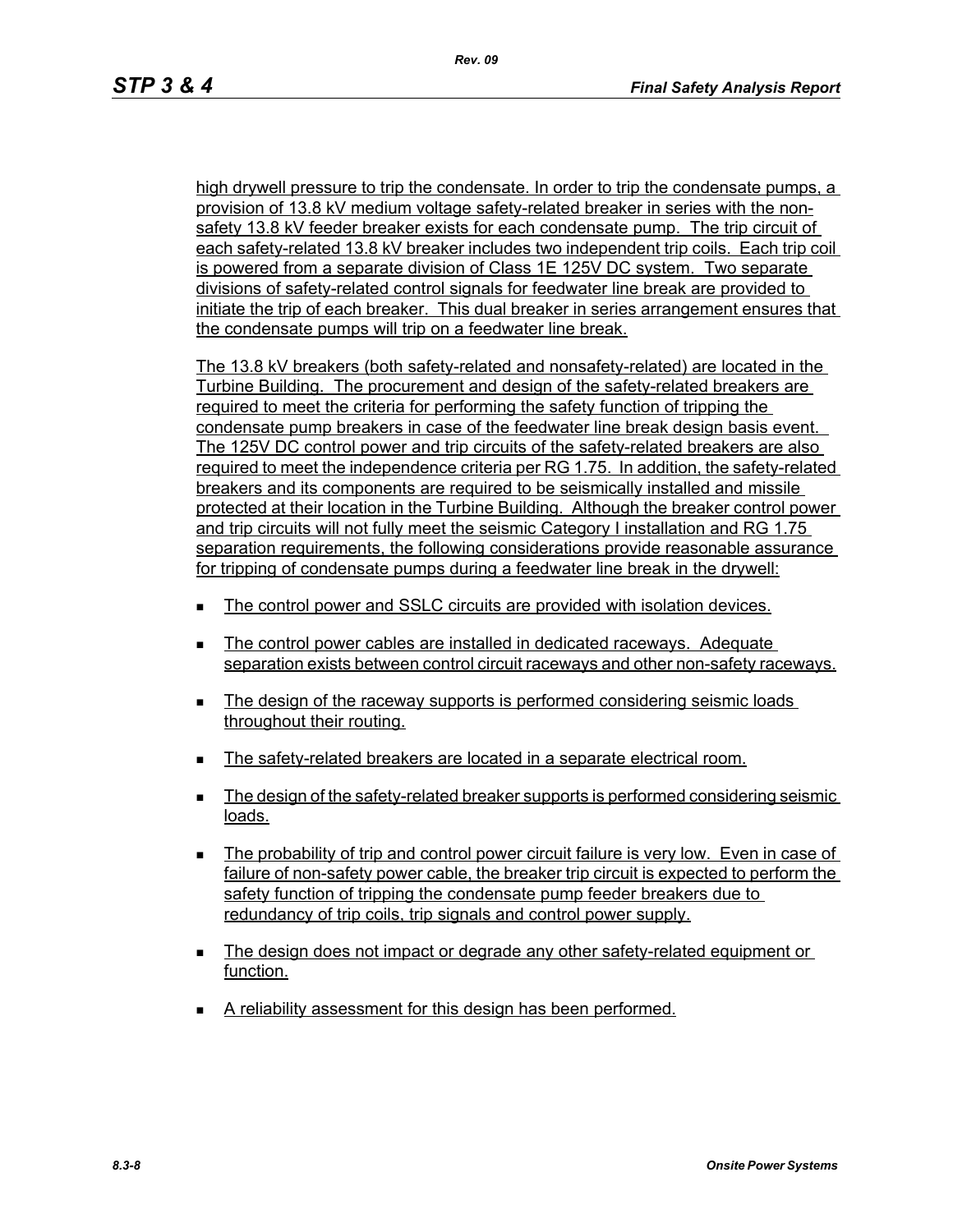high drywell pressure to trip the condensate. In order to trip the condensate pumps, a provision of 13.8 kV medium voltage safety-related breaker in series with the nonsafety 13.8 kV feeder breaker exists for each condensate pump. The trip circuit of each safety-related 13.8 kV breaker includes two independent trip coils. Each trip coil is powered from a separate division of Class 1E 125V DC system. Two separate divisions of safety-related control signals for feedwater line break are provided to initiate the trip of each breaker. This dual breaker in series arrangement ensures that the condensate pumps will trip on a feedwater line break.

The 13.8 kV breakers (both safety-related and nonsafety-related) are located in the Turbine Building. The procurement and design of the safety-related breakers are required to meet the criteria for performing the safety function of tripping the condensate pump breakers in case of the feedwater line break design basis event. The 125V DC control power and trip circuits of the safety-related breakers are also required to meet the independence criteria per RG 1.75. In addition, the safety-related breakers and its components are required to be seismically installed and missile protected at their location in the Turbine Building. Although the breaker control power and trip circuits will not fully meet the seismic Category I installation and RG 1.75 separation requirements, the following considerations provide reasonable assurance for tripping of condensate pumps during a feedwater line break in the drywell:

- The control power and SSLC circuits are provided with isolation devices.
- The control power cables are installed in dedicated raceways. Adequate separation exists between control circuit raceways and other non-safety raceways.
- The design of the raceway supports is performed considering seismic loads throughout their routing.
- The safety-related breakers are located in a separate electrical room.
- The design of the safety-related breaker supports is performed considering seismic loads.
- The probability of trip and control power circuit failure is very low. Even in case of failure of non-safety power cable, the breaker trip circuit is expected to perform the safety function of tripping the condensate pump feeder breakers due to redundancy of trip coils, trip signals and control power supply.
- The design does not impact or degrade any other safety-related equipment or function.
- A reliability assessment for this design has been performed.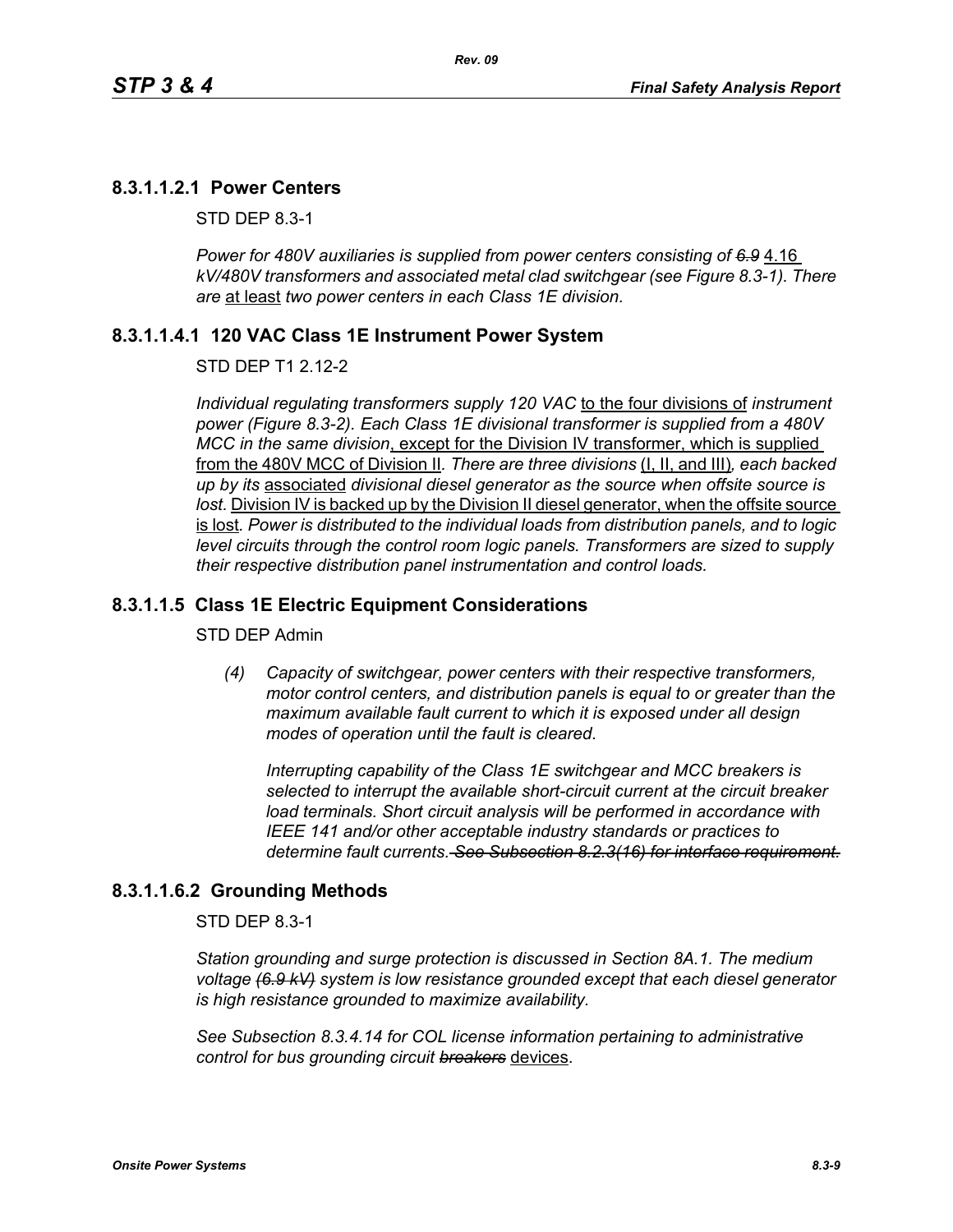*Rev. 09*

#### **8.3.1.1.2.1 Power Centers**

STD DEP 8.3-1

Power for 480V auxiliaries is supplied from power centers consisting of 6.9 4.16 *kV/480V transformers and associated metal clad switchgear (see Figure 8.3-1). There are* at least *two power centers in each Class 1E division.*

#### **8.3.1.1.4.1 120 VAC Class 1E Instrument Power System**

#### STD DEP T1 2.12-2

*Individual regulating transformers supply 120 VAC* to the four divisions of *instrument power (Figure 8.3-2). Each Class 1E divisional transformer is supplied from a 480V MCC in the same division*, except for the Division IV transformer, which is supplied from the 480V MCC of Division II*. There are three divisions* (I, II, and III)*, each backed up by its* associated *divisional diesel generator as the source when offsite source is*  lost. Division IV is backed up by the Division II diesel generator, when the offsite source is lost*. Power is distributed to the individual loads from distribution panels, and to logic level circuits through the control room logic panels. Transformers are sized to supply their respective distribution panel instrumentation and control loads.*

#### **8.3.1.1.5 Class 1E Electric Equipment Considerations**

#### STD DEP Admin

*(4) Capacity of switchgear, power centers with their respective transformers, motor control centers, and distribution panels is equal to or greater than the maximum available fault current to which it is exposed under all design modes of operation until the fault is cleared.*

*Interrupting capability of the Class 1E switchgear and MCC breakers is selected to interrupt the available short-circuit current at the circuit breaker load terminals. Short circuit analysis will be performed in accordance with IEEE 141 and/or other acceptable industry standards or practices to determine fault currents. See Subsection 8.2.3(16) for interface requirement.*

#### **8.3.1.1.6.2 Grounding Methods**

STD DEP 8.3-1

*Station grounding and surge protection is discussed in Section 8A.1. The medium voltage (6.9 kV) system is low resistance grounded except that each diesel generator is high resistance grounded to maximize availability.*

*See Subsection 8.3.4.14 for COL license information pertaining to administrative control for bus grounding circuit breakers* devices.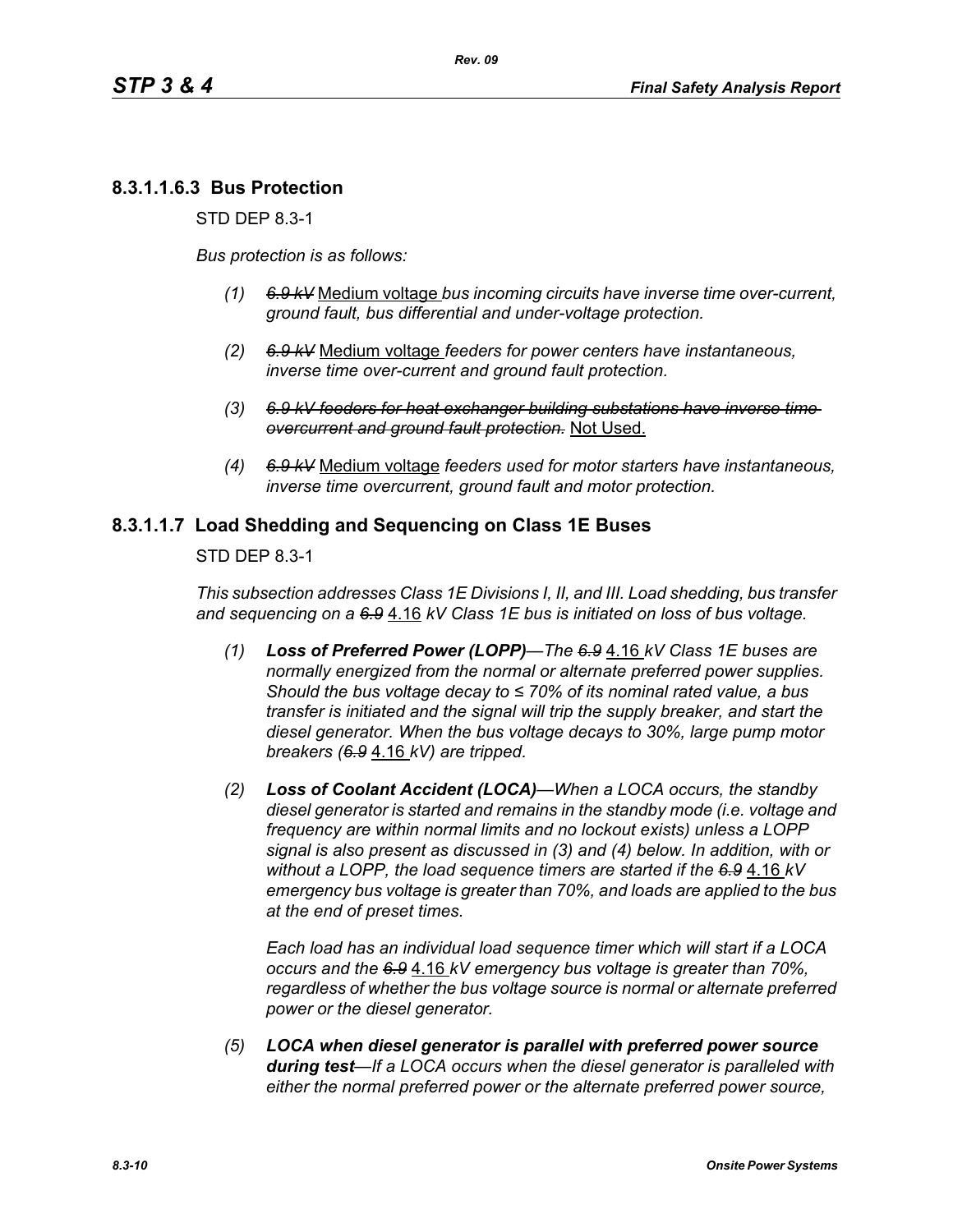## **8.3.1.1.6.3 Bus Protection**

STD DEP 8.3-1

*Bus protection is as follows:*

- *(1) 6.9 kV* Medium voltage *bus incoming circuits have inverse time over-current, ground fault, bus differential and under-voltage protection.*
- *(2) 6.9 kV* Medium voltage *feeders for power centers have instantaneous, inverse time over-current and ground fault protection.*
- *(3) 6.9 kV feeders for heat exchanger building substations have inverse time overcurrent and ground fault protection.* Not Used.
- *(4) 6.9 kV* Medium voltage *feeders used for motor starters have instantaneous, inverse time overcurrent, ground fault and motor protection.*

### **8.3.1.1.7 Load Shedding and Sequencing on Class 1E Buses**

STD DEP 8.3-1

*This subsection addresses Class 1E Divisions I, II, and III. Load shedding, bus transfer and sequencing on a 6.9* 4.16 *kV Class 1E bus is initiated on loss of bus voltage.*

- *(1) Loss of Preferred Power (LOPP)—The 6.9* 4.16 *kV Class 1E buses are normally energized from the normal or alternate preferred power supplies. Should the bus voltage decay to ≤ 70% of its nominal rated value, a bus transfer is initiated and the signal will trip the supply breaker, and start the diesel generator. When the bus voltage decays to 30%, large pump motor breakers (6.9* 4.16 *kV) are tripped.*
- *(2) Loss of Coolant Accident (LOCA)—When a LOCA occurs, the standby diesel generator is started and remains in the standby mode (i.e. voltage and frequency are within normal limits and no lockout exists) unless a LOPP signal is also present as discussed in (3) and (4) below. In addition, with or without a LOPP, the load sequence timers are started if the 6.9* 4.16 *kV emergency bus voltage is greater than 70%, and loads are applied to the bus at the end of preset times.*

*Each load has an individual load sequence timer which will start if a LOCA occurs and the 6.9* 4.16 *kV emergency bus voltage is greater than 70%, regardless of whether the bus voltage source is normal or alternate preferred power or the diesel generator.*

*(5) LOCA when diesel generator is parallel with preferred power source during test—If a LOCA occurs when the diesel generator is paralleled with either the normal preferred power or the alternate preferred power source,*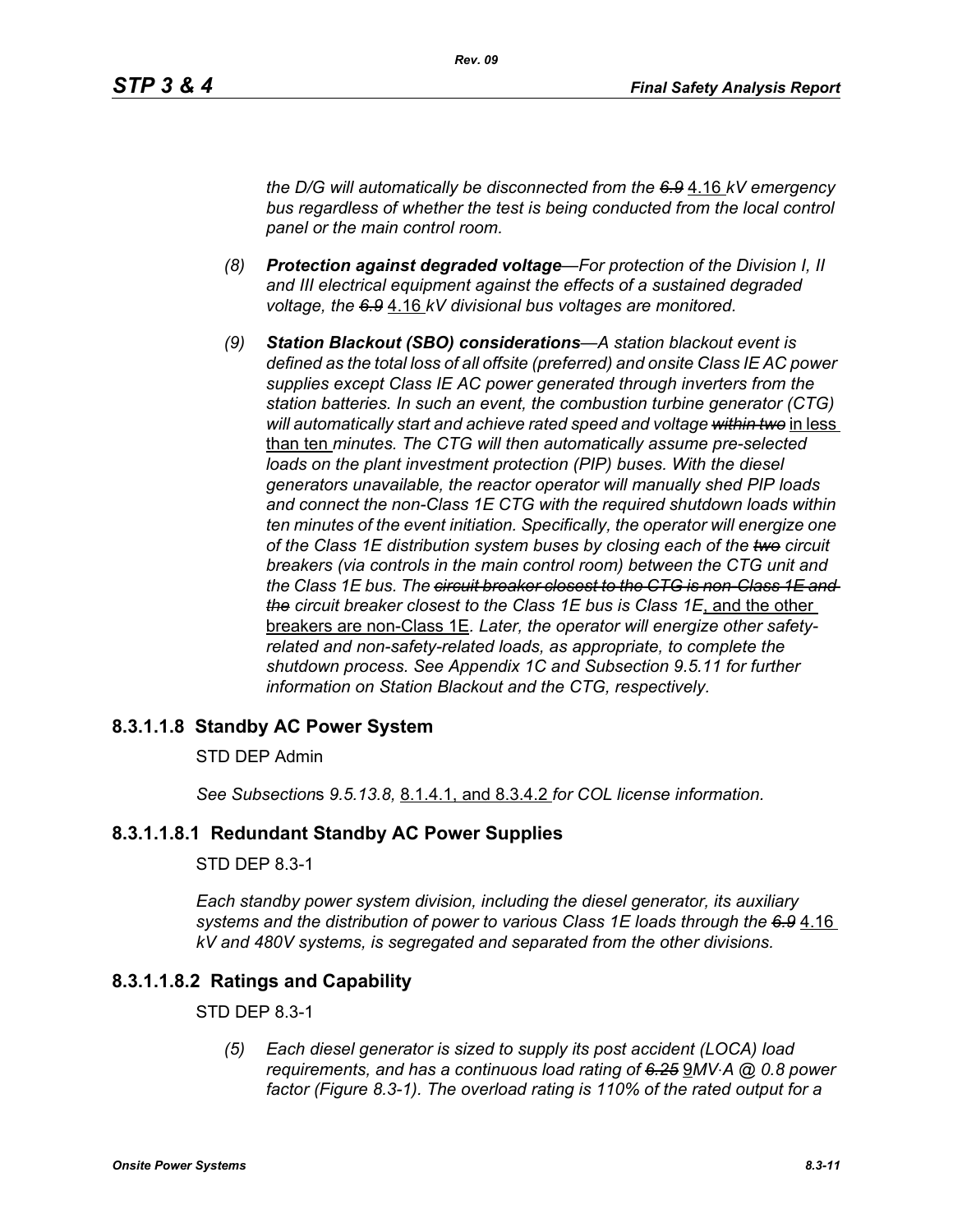*the D/G will automatically be disconnected from the 6.9* 4.16 *kV emergency bus regardless of whether the test is being conducted from the local control panel or the main control room.*

- *(8) Protection against degraded voltage—For protection of the Division I, II and III electrical equipment against the effects of a sustained degraded voltage, the 6.9* 4.16 *kV divisional bus voltages are monitored.*
- *(9) Station Blackout (SBO) considerations—A station blackout event is defined as the total loss of all offsite (preferred) and onsite Class IE AC power supplies except Class IE AC power generated through inverters from the station batteries. In such an event, the combustion turbine generator (CTG) will automatically start and achieve rated speed and voltage within two* in less than ten *minutes. The CTG will then automatically assume pre-selected loads on the plant investment protection (PIP) buses. With the diesel generators unavailable, the reactor operator will manually shed PIP loads and connect the non-Class 1E CTG with the required shutdown loads within ten minutes of the event initiation. Specifically, the operator will energize one of the Class 1E distribution system buses by closing each of the two circuit breakers (via controls in the main control room) between the CTG unit and the Class 1E bus. The circuit breaker closest to the CTG is non-Class 1E and the circuit breaker closest to the Class 1E bus is Class 1E*, and the other breakers are non-Class 1E*. Later, the operator will energize other safetyrelated and non-safety-related loads, as appropriate, to complete the shutdown process. See Appendix 1C and Subsection 9.5.11 for further information on Station Blackout and the CTG, respectively.*

#### **8.3.1.1.8 Standby AC Power System**

#### STD DEP Admin

*See Subsection*s *9.5.13.8,* 8.1.4.1, and 8.3.4.2 *for COL license information.*

#### **8.3.1.1.8.1 Redundant Standby AC Power Supplies**

#### STD DEP 8.3-1

*Each standby power system division, including the diesel generator, its auxiliary systems and the distribution of power to various Class 1E loads through the 6.9* 4.16 *kV and 480V systems, is segregated and separated from the other divisions.*

#### **8.3.1.1.8.2 Ratings and Capability**

#### STD DEP 8.3-1

*(5) Each diesel generator is sized to supply its post accident (LOCA) load requirements, and has a continuous load rating of 6.25* 9*MV*⋅*A @ 0.8 power factor (Figure 8.3-1). The overload rating is 110% of the rated output for a*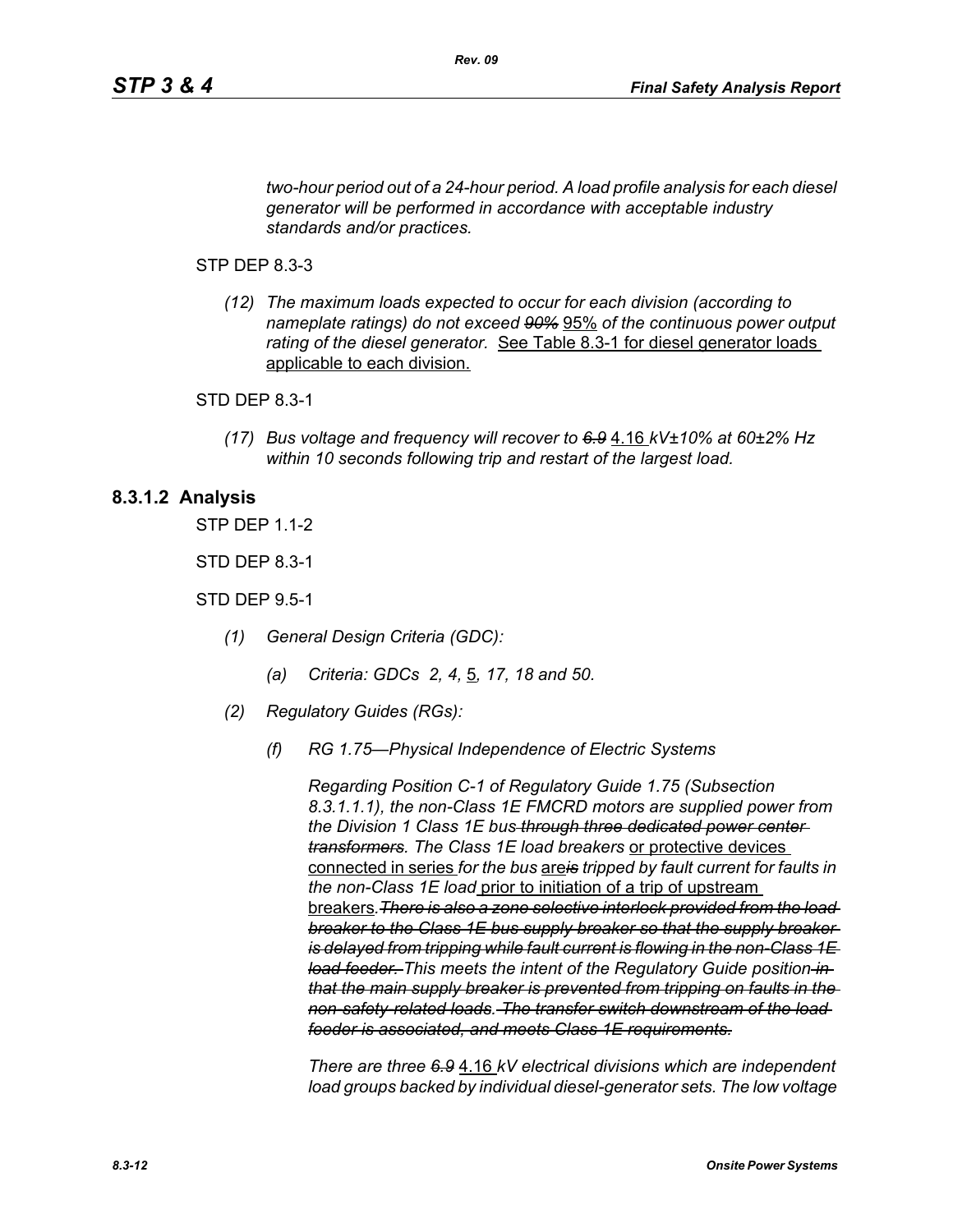*two-hour period out of a 24-hour period. A load profile analysis for each diesel generator will be performed in accordance with acceptable industry standards and/or practices.*

*Rev. 09*

#### STP DEP 8.3-3

*(12) The maximum loads expected to occur for each division (according to nameplate ratings) do not exceed 90%* 95% *of the continuous power output rating of the diesel generator.* See Table 8.3-1 for diesel generator loads applicable to each division.

#### STD DEP 8.3-1

*(17) Bus voltage and frequency will recover to 6.9* 4.16 *kV±10% at 60±2% Hz within 10 seconds following trip and restart of the largest load.*

### **8.3.1.2 Analysis**

STP DEP 1.1-2

STD DEP 8.3-1

STD DEP 9.5-1

- *(1) General Design Criteria (GDC):*
	- *(a) Criteria: GDCs 2, 4,* 5*, 17, 18 and 50.*
- *(2) Regulatory Guides (RGs):*
	- *(f) RG 1.75—Physical Independence of Electric Systems*

*Regarding Position C-1 of Regulatory Guide 1.75 (Subsection 8.3.1.1.1), the non-Class 1E FMCRD motors are supplied power from the Division 1 Class 1E bus through three dedicated power center transformers. The Class 1E load breakers* or protective devices connected in series *for the bus* are*is tripped by fault current for faults in the non-Class 1E load* prior to initiation of a trip of upstream breakers*.There is also a zone selective interlock provided from the load breaker to the Class 1E bus supply breaker so that the supply breaker is delayed from tripping while fault current is flowing in the non-Class 1E load feeder. This meets the intent of the Regulatory Guide position in that the main supply breaker is prevented from tripping on faults in the non-safety-related loads. The transfer switch downstream of the load feeder is associated, and meets Class 1E requirements.*

*There are three 6.9* 4.16 *kV electrical divisions which are independent load groups backed by individual diesel-generator sets. The low voltage*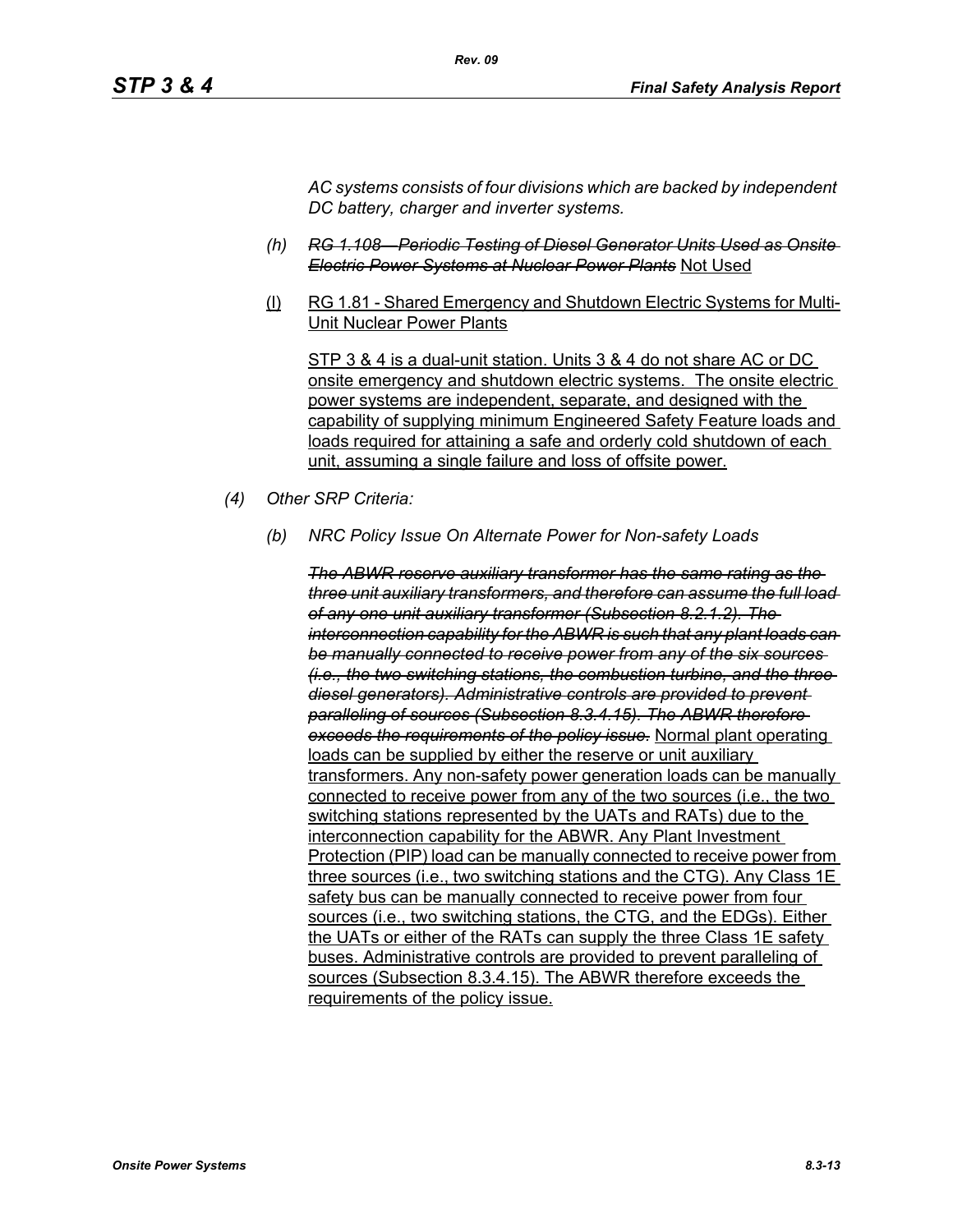*AC systems consists of four divisions which are backed by independent DC battery, charger and inverter systems.*

- *(h) RG 1.108—Periodic Testing of Diesel Generator Units Used as Onsite Electric Power Systems at Nuclear Power Plants* Not Used
- (l) RG 1.81 Shared Emergency and Shutdown Electric Systems for Multi-Unit Nuclear Power Plants

STP 3 & 4 is a dual-unit station. Units 3 & 4 do not share AC or DC onsite emergency and shutdown electric systems. The onsite electric power systems are independent, separate, and designed with the capability of supplying minimum Engineered Safety Feature loads and loads required for attaining a safe and orderly cold shutdown of each unit, assuming a single failure and loss of offsite power.

- *(4) Other SRP Criteria:*
	- *(b) NRC Policy Issue On Alternate Power for Non-safety Loads*

*The ABWR reserve auxiliary transformer has the same rating as the three unit auxiliary transformers, and therefore can assume the full load of any one unit auxiliary transformer (Subsection 8.2.1.2). The interconnection capability for the ABWR is such that any plant loads can be manually connected to receive power from any of the six sources (i.e., the two switching stations, the combustion turbine, and the three diesel generators). Administrative controls are provided to prevent paralleling of sources (Subsection 8.3.4.15). The ABWR therefore exceeds the requirements of the policy issue.* Normal plant operating loads can be supplied by either the reserve or unit auxiliary transformers. Any non-safety power generation loads can be manually connected to receive power from any of the two sources (i.e., the two switching stations represented by the UATs and RATs) due to the interconnection capability for the ABWR. Any Plant Investment Protection (PIP) load can be manually connected to receive power from three sources (i.e., two switching stations and the CTG). Any Class 1E safety bus can be manually connected to receive power from four sources (i.e., two switching stations, the CTG, and the EDGs). Either the UATs or either of the RATs can supply the three Class 1E safety buses. Administrative controls are provided to prevent paralleling of sources (Subsection 8.3.4.15). The ABWR therefore exceeds the requirements of the policy issue.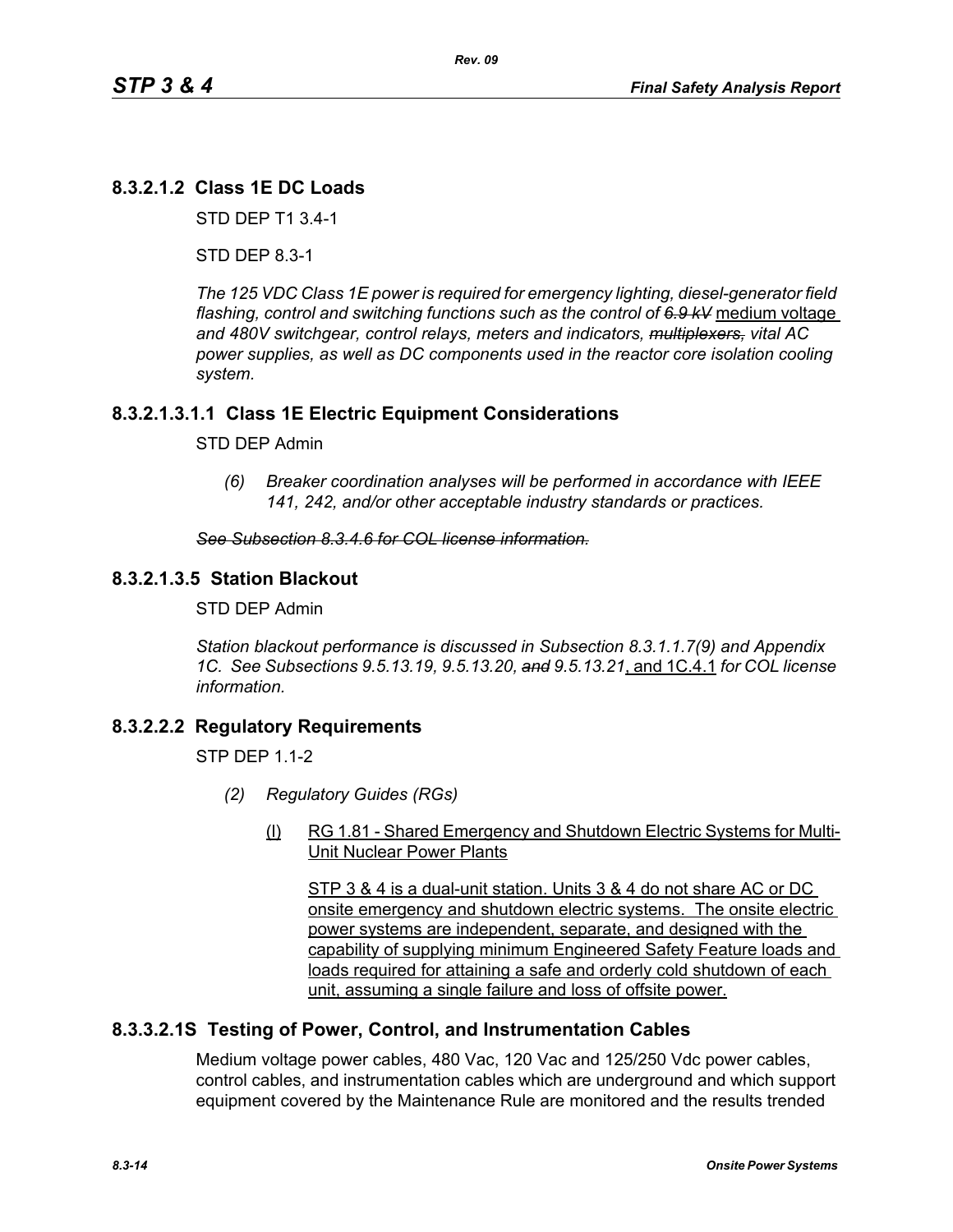# **8.3.2.1.2 Class 1E DC Loads**

STD DEP T1 3.4-1

STD DEP 8.3-1

*The 125 VDC Class 1E power is required for emergency lighting, diesel-generator field flashing, control and switching functions such as the control of 6.9 kV* medium voltage *and 480V switchgear, control relays, meters and indicators, multiplexers, vital AC power supplies, as well as DC components used in the reactor core isolation cooling system.*

### **8.3.2.1.3.1.1 Class 1E Electric Equipment Considerations**

#### STD DEP Admin

*(6) Breaker coordination analyses will be performed in accordance with IEEE 141, 242, and/or other acceptable industry standards or practices.*

#### *See Subsection 8.3.4.6 for COL license information.*

### **8.3.2.1.3.5 Station Blackout**

STD DEP Admin

*Station blackout performance is discussed in Subsection 8.3.1.1.7(9) and Appendix 1C. See Subsections 9.5.13.19, 9.5.13.20, and 9.5.13.21*, and 1C.4.1 *for COL license information.*

### **8.3.2.2.2 Regulatory Requirements**

 $STP$  DFP 11-2

- *(2) Regulatory Guides (RGs)*
	- (l) RG 1.81 Shared Emergency and Shutdown Electric Systems for Multi-Unit Nuclear Power Plants

STP 3 & 4 is a dual-unit station. Units 3 & 4 do not share AC or DC onsite emergency and shutdown electric systems. The onsite electric power systems are independent, separate, and designed with the capability of supplying minimum Engineered Safety Feature loads and loads required for attaining a safe and orderly cold shutdown of each unit, assuming a single failure and loss of offsite power.

### **8.3.3.2.1S Testing of Power, Control, and Instrumentation Cables**

Medium voltage power cables, 480 Vac, 120 Vac and 125/250 Vdc power cables, control cables, and instrumentation cables which are underground and which support equipment covered by the Maintenance Rule are monitored and the results trended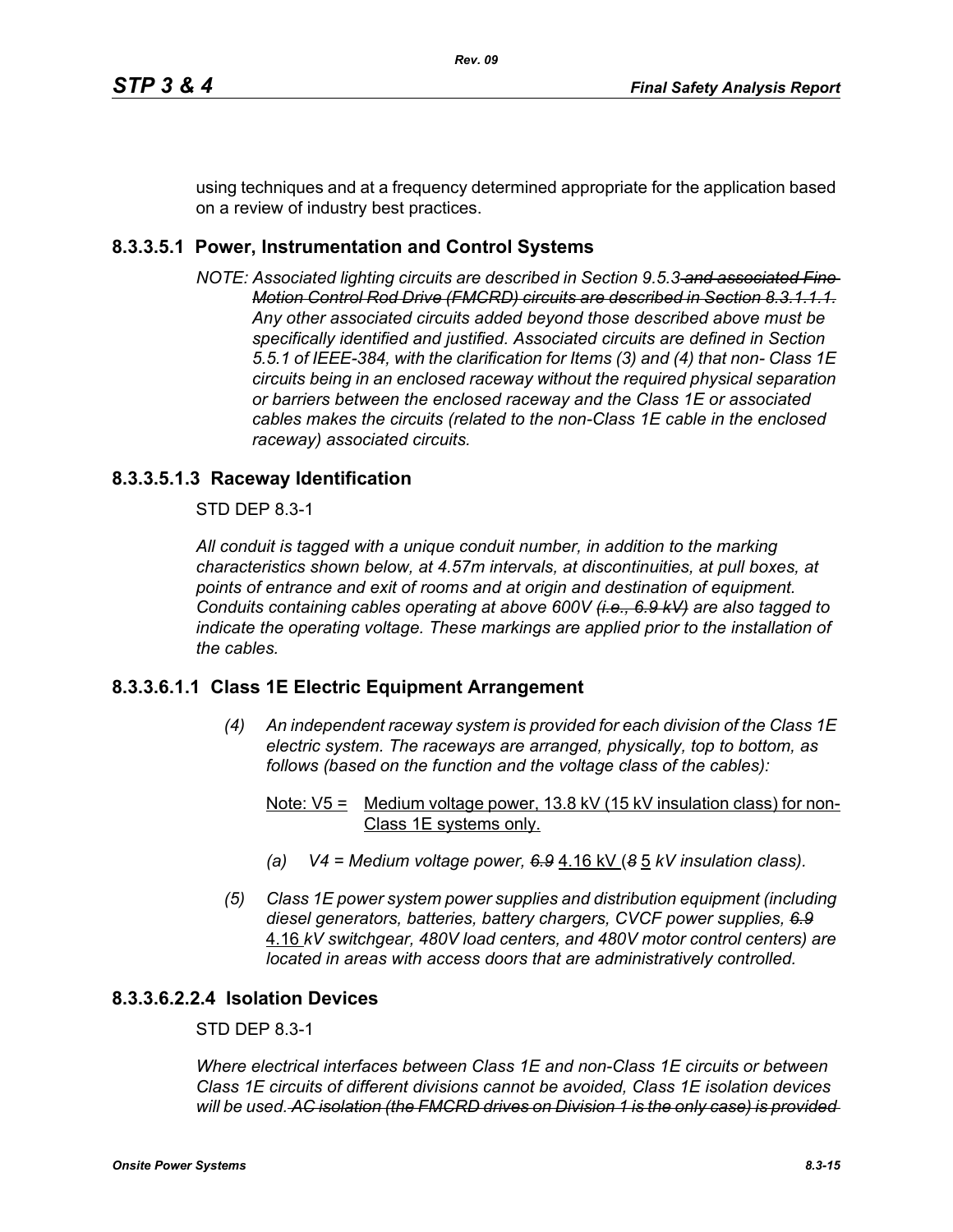using techniques and at a frequency determined appropriate for the application based on a review of industry best practices.

## **8.3.3.5.1 Power, Instrumentation and Control Systems**

*NOTE: Associated lighting circuits are described in Section 9.5.3 and associated Fine Motion Control Rod Drive (FMCRD) circuits are described in Section 8.3.1.1.1. Any other associated circuits added beyond those described above must be specifically identified and justified. Associated circuits are defined in Section 5.5.1 of IEEE-384, with the clarification for Items (3) and (4) that non- Class 1E circuits being in an enclosed raceway without the required physical separation or barriers between the enclosed raceway and the Class 1E or associated cables makes the circuits (related to the non-Class 1E cable in the enclosed raceway) associated circuits.*

### **8.3.3.5.1.3 Raceway Identification**

STD DEP 8.3-1

*All conduit is tagged with a unique conduit number, in addition to the marking characteristics shown below, at 4.57m intervals, at discontinuities, at pull boxes, at points of entrance and exit of rooms and at origin and destination of equipment. Conduits containing cables operating at above 600V (i.e., 6.9 kV) are also tagged to indicate the operating voltage. These markings are applied prior to the installation of the cables.*

### **8.3.3.6.1.1 Class 1E Electric Equipment Arrangement**

- *(4) An independent raceway system is provided for each division of the Class 1E electric system. The raceways are arranged, physically, top to bottom, as follows (based on the function and the voltage class of the cables):*
	- Note:  $V5 =$  Medium voltage power, 13.8 kV (15 kV insulation class) for non-Class 1E systems only.
	- *(a) V4 = Medium voltage power, 6.9* 4.16 kV (*8* 5 *kV insulation class).*
- *(5) Class 1E power system power supplies and distribution equipment (including diesel generators, batteries, battery chargers, CVCF power supplies, 6.9* 4.16 *kV switchgear, 480V load centers, and 480V motor control centers) are located in areas with access doors that are administratively controlled.*

### **8.3.3.6.2.2.4 Isolation Devices**

#### STD DEP 8.3-1

*Where electrical interfaces between Class 1E and non-Class 1E circuits or between Class 1E circuits of different divisions cannot be avoided, Class 1E isolation devices will be used. AC isolation (the FMCRD drives on Division 1 is the only case) is provided*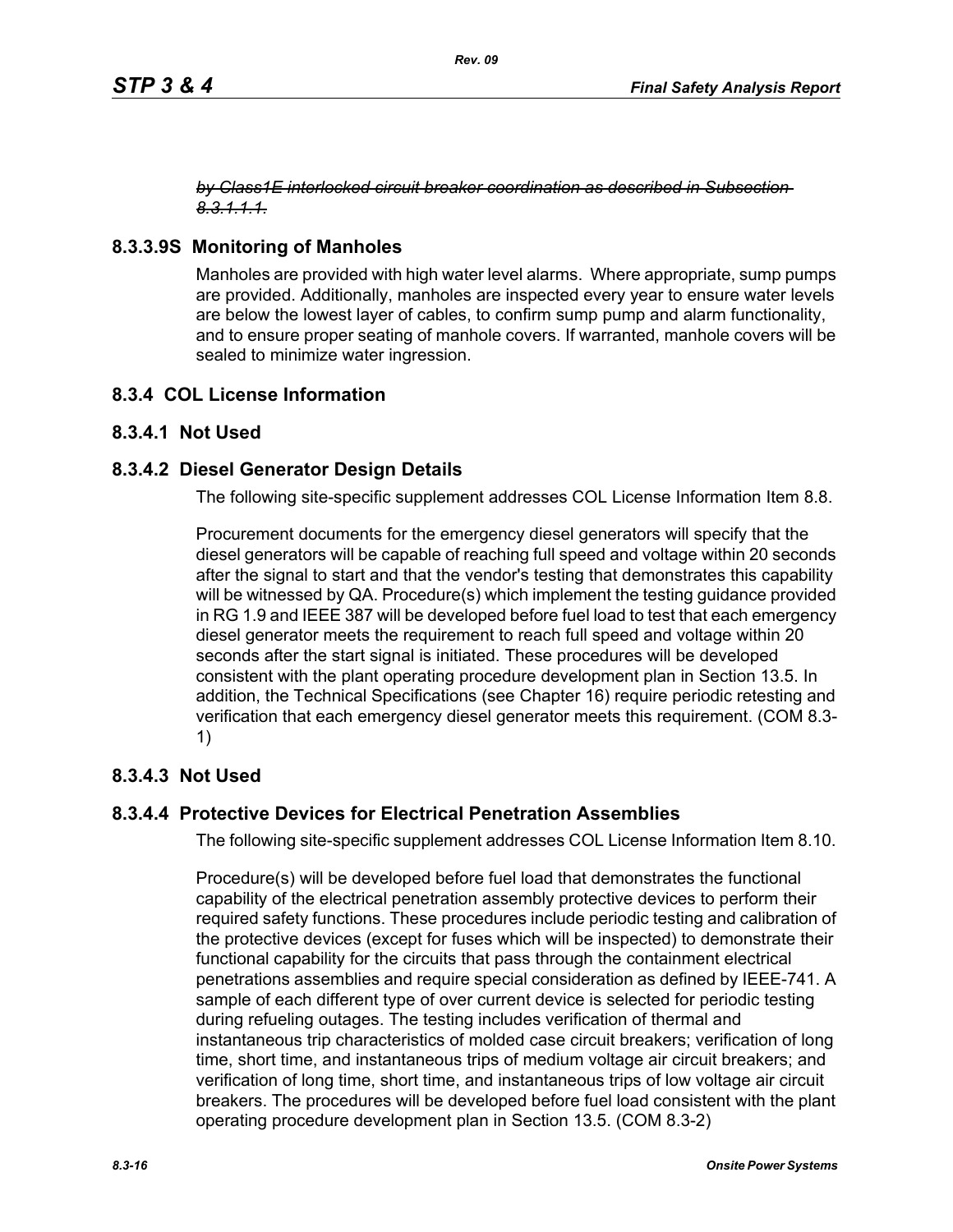#### *by Class1E interlocked circuit breaker coordination as described in Subsection 8.3.1.1.1.*

## **8.3.3.9S Monitoring of Manholes**

Manholes are provided with high water level alarms. Where appropriate, sump pumps are provided. Additionally, manholes are inspected every year to ensure water levels are below the lowest layer of cables, to confirm sump pump and alarm functionality, and to ensure proper seating of manhole covers. If warranted, manhole covers will be sealed to minimize water ingression.

### **8.3.4 COL License Information**

### **8.3.4.1 Not Used**

### **8.3.4.2 Diesel Generator Design Details**

The following site-specific supplement addresses COL License Information Item 8.8.

Procurement documents for the emergency diesel generators will specify that the diesel generators will be capable of reaching full speed and voltage within 20 seconds after the signal to start and that the vendor's testing that demonstrates this capability will be witnessed by QA. Procedure(s) which implement the testing guidance provided in RG 1.9 and IEEE 387 will be developed before fuel load to test that each emergency diesel generator meets the requirement to reach full speed and voltage within 20 seconds after the start signal is initiated. These procedures will be developed consistent with the plant operating procedure development plan in Section 13.5. In addition, the Technical Specifications (see Chapter 16) require periodic retesting and verification that each emergency diesel generator meets this requirement. (COM 8.3- 1)

### **8.3.4.3 Not Used**

### **8.3.4.4 Protective Devices for Electrical Penetration Assemblies**

The following site-specific supplement addresses COL License Information Item 8.10.

Procedure(s) will be developed before fuel load that demonstrates the functional capability of the electrical penetration assembly protective devices to perform their required safety functions. These procedures include periodic testing and calibration of the protective devices (except for fuses which will be inspected) to demonstrate their functional capability for the circuits that pass through the containment electrical penetrations assemblies and require special consideration as defined by IEEE-741. A sample of each different type of over current device is selected for periodic testing during refueling outages. The testing includes verification of thermal and instantaneous trip characteristics of molded case circuit breakers; verification of long time, short time, and instantaneous trips of medium voltage air circuit breakers; and verification of long time, short time, and instantaneous trips of low voltage air circuit breakers. The procedures will be developed before fuel load consistent with the plant operating procedure development plan in Section 13.5. (COM 8.3-2)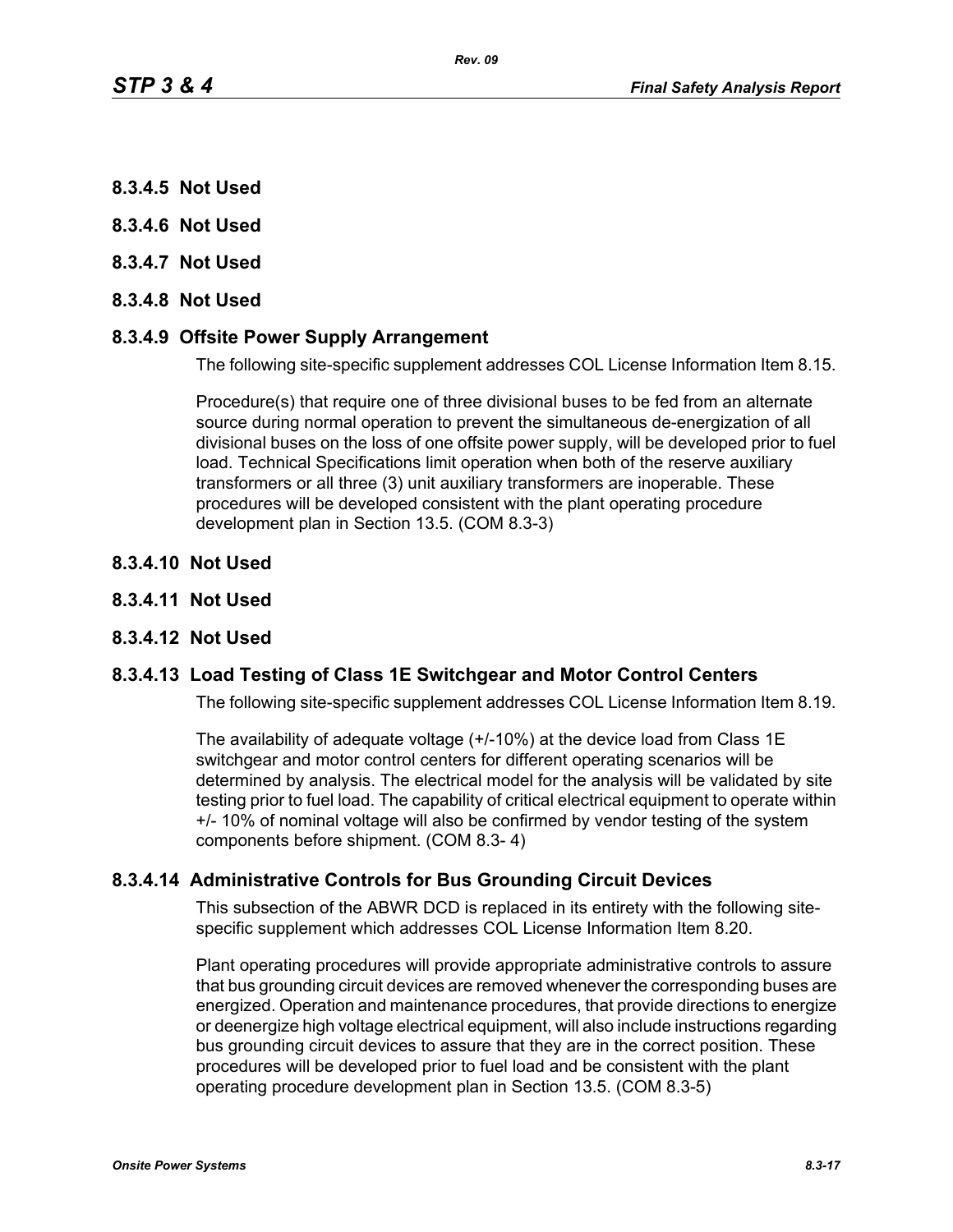- **8.3.4.5 Not Used**
- **8.3.4.6 Not Used**
- **8.3.4.7 Not Used**
- **8.3.4.8 Not Used**

### **8.3.4.9 Offsite Power Supply Arrangement**

The following site-specific supplement addresses COL License Information Item 8.15.

Procedure(s) that require one of three divisional buses to be fed from an alternate source during normal operation to prevent the simultaneous de-energization of all divisional buses on the loss of one offsite power supply, will be developed prior to fuel load. Technical Specifications limit operation when both of the reserve auxiliary transformers or all three (3) unit auxiliary transformers are inoperable. These procedures will be developed consistent with the plant operating procedure development plan in Section 13.5. (COM 8.3-3)

- **8.3.4.10 Not Used**
- **8.3.4.11 Not Used**

#### **8.3.4.12 Not Used**

#### **8.3.4.13 Load Testing of Class 1E Switchgear and Motor Control Centers**

The following site-specific supplement addresses COL License Information Item 8.19.

The availability of adequate voltage (+/-10%) at the device load from Class 1E switchgear and motor control centers for different operating scenarios will be determined by analysis. The electrical model for the analysis will be validated by site testing prior to fuel load. The capability of critical electrical equipment to operate within +/- 10% of nominal voltage will also be confirmed by vendor testing of the system components before shipment. (COM 8.3- 4)

#### **8.3.4.14 Administrative Controls for Bus Grounding Circuit Devices**

This subsection of the ABWR DCD is replaced in its entirety with the following sitespecific supplement which addresses COL License Information Item 8.20.

Plant operating procedures will provide appropriate administrative controls to assure that bus grounding circuit devices are removed whenever the corresponding buses are energized. Operation and maintenance procedures, that provide directions to energize or deenergize high voltage electrical equipment, will also include instructions regarding bus grounding circuit devices to assure that they are in the correct position. These procedures will be developed prior to fuel load and be consistent with the plant operating procedure development plan in Section 13.5. (COM 8.3-5)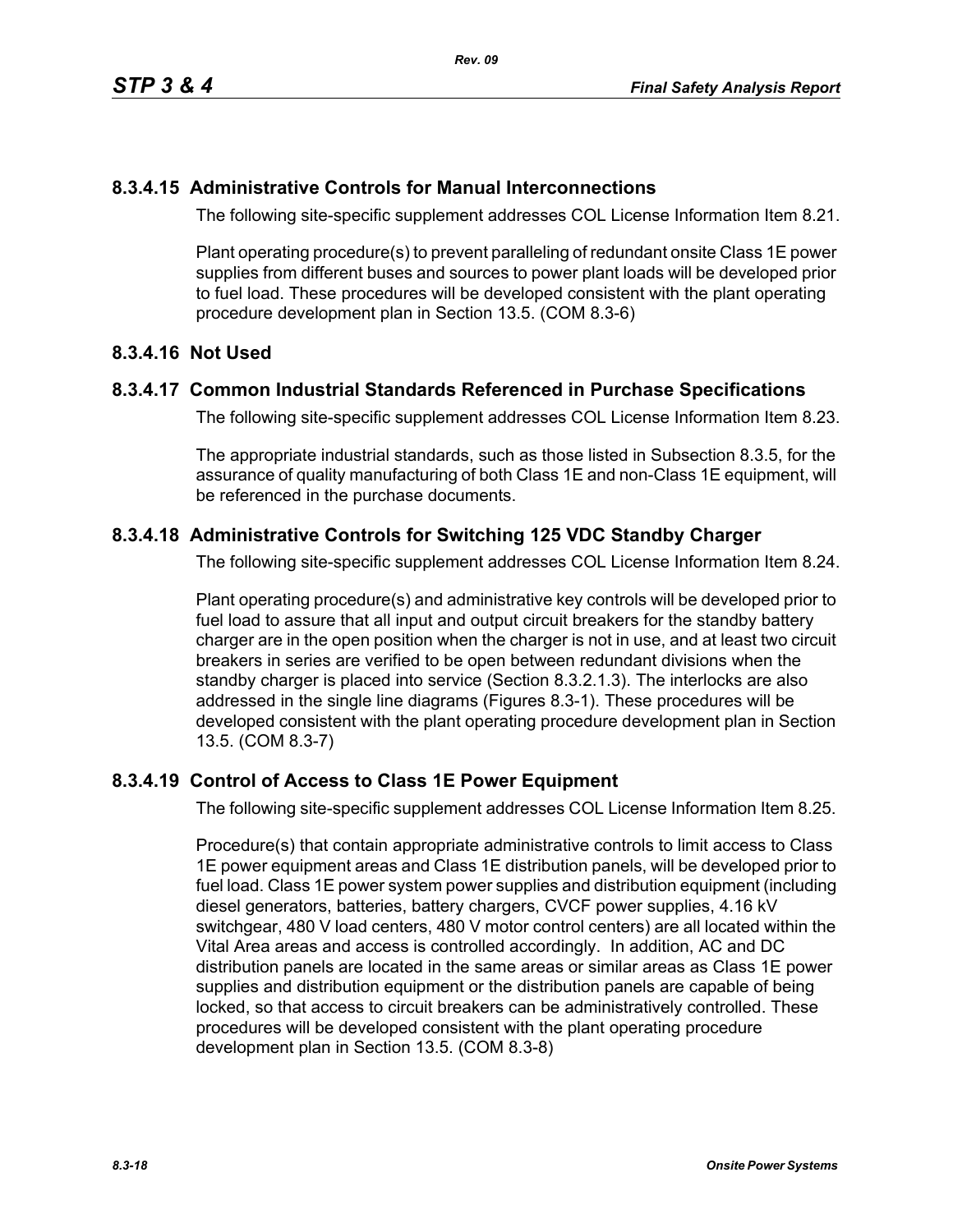### **8.3.4.15 Administrative Controls for Manual Interconnections**

The following site-specific supplement addresses COL License Information Item 8.21.

Plant operating procedure(s) to prevent paralleling of redundant onsite Class 1E power supplies from different buses and sources to power plant loads will be developed prior to fuel load. These procedures will be developed consistent with the plant operating procedure development plan in Section 13.5. (COM 8.3-6)

## **8.3.4.16 Not Used**

### **8.3.4.17 Common Industrial Standards Referenced in Purchase Specifications**

The following site-specific supplement addresses COL License Information Item 8.23.

The appropriate industrial standards, such as those listed in Subsection 8.3.5, for the assurance of quality manufacturing of both Class 1E and non-Class 1E equipment, will be referenced in the purchase documents.

### **8.3.4.18 Administrative Controls for Switching 125 VDC Standby Charger**

The following site-specific supplement addresses COL License Information Item 8.24.

Plant operating procedure(s) and administrative key controls will be developed prior to fuel load to assure that all input and output circuit breakers for the standby battery charger are in the open position when the charger is not in use, and at least two circuit breakers in series are verified to be open between redundant divisions when the standby charger is placed into service (Section 8.3.2.1.3). The interlocks are also addressed in the single line diagrams (Figures 8.3-1). These procedures will be developed consistent with the plant operating procedure development plan in Section 13.5. (COM 8.3-7)

### **8.3.4.19 Control of Access to Class 1E Power Equipment**

The following site-specific supplement addresses COL License Information Item 8.25.

Procedure(s) that contain appropriate administrative controls to limit access to Class 1E power equipment areas and Class 1E distribution panels, will be developed prior to fuel load. Class 1E power system power supplies and distribution equipment (including diesel generators, batteries, battery chargers, CVCF power supplies, 4.16 kV switchgear, 480 V load centers, 480 V motor control centers) are all located within the Vital Area areas and access is controlled accordingly. In addition, AC and DC distribution panels are located in the same areas or similar areas as Class 1E power supplies and distribution equipment or the distribution panels are capable of being locked, so that access to circuit breakers can be administratively controlled. These procedures will be developed consistent with the plant operating procedure development plan in Section 13.5. (COM 8.3-8)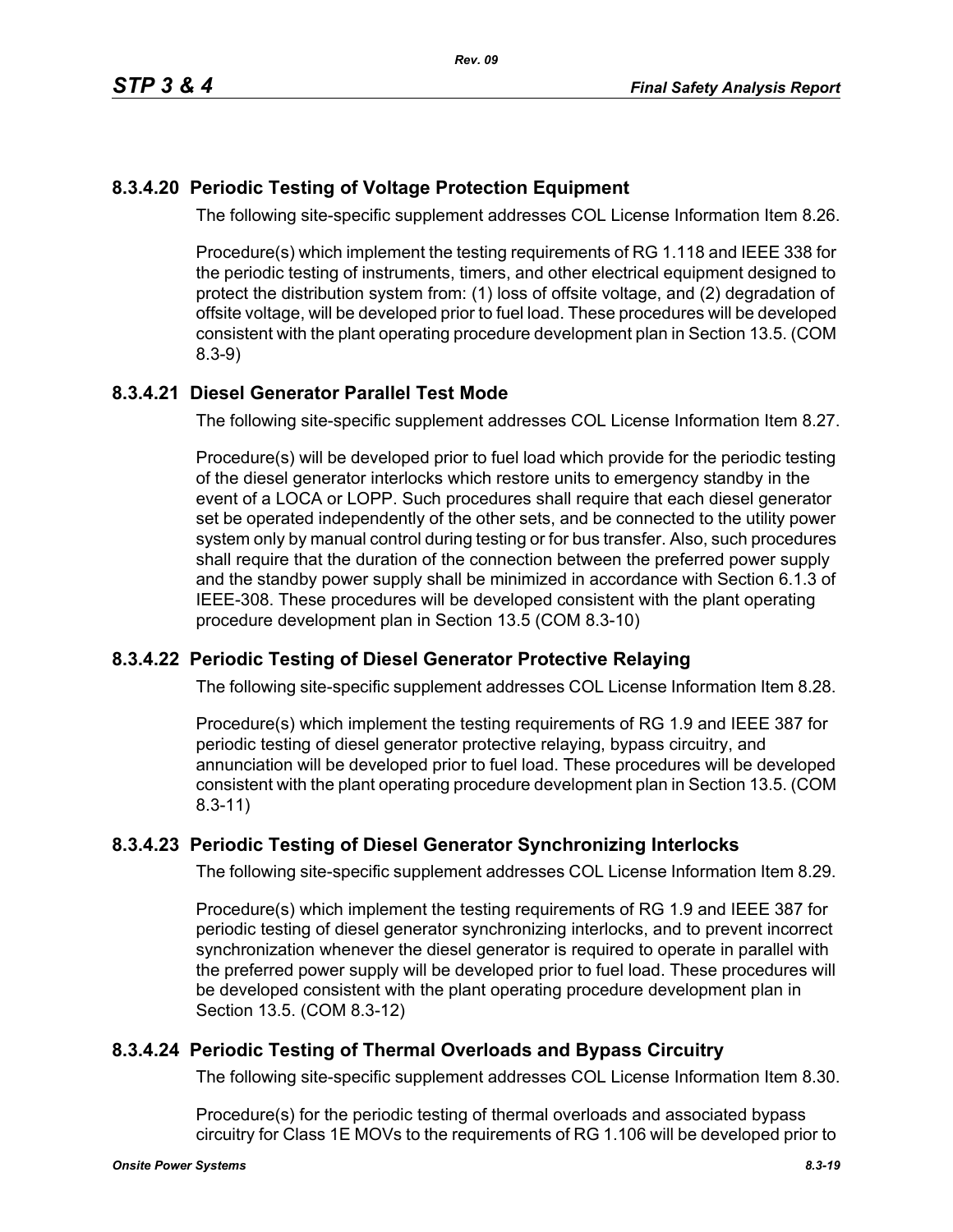# **8.3.4.20 Periodic Testing of Voltage Protection Equipment**

The following site-specific supplement addresses COL License Information Item 8.26.

Procedure(s) which implement the testing requirements of RG 1.118 and IEEE 338 for the periodic testing of instruments, timers, and other electrical equipment designed to protect the distribution system from: (1) loss of offsite voltage, and (2) degradation of offsite voltage, will be developed prior to fuel load. These procedures will be developed consistent with the plant operating procedure development plan in Section 13.5. (COM 8.3-9)

# **8.3.4.21 Diesel Generator Parallel Test Mode**

The following site-specific supplement addresses COL License Information Item 8.27.

Procedure(s) will be developed prior to fuel load which provide for the periodic testing of the diesel generator interlocks which restore units to emergency standby in the event of a LOCA or LOPP. Such procedures shall require that each diesel generator set be operated independently of the other sets, and be connected to the utility power system only by manual control during testing or for bus transfer. Also, such procedures shall require that the duration of the connection between the preferred power supply and the standby power supply shall be minimized in accordance with Section 6.1.3 of IEEE-308. These procedures will be developed consistent with the plant operating procedure development plan in Section 13.5 (COM 8.3-10)

# **8.3.4.22 Periodic Testing of Diesel Generator Protective Relaying**

The following site-specific supplement addresses COL License Information Item 8.28.

Procedure(s) which implement the testing requirements of RG 1.9 and IEEE 387 for periodic testing of diesel generator protective relaying, bypass circuitry, and annunciation will be developed prior to fuel load. These procedures will be developed consistent with the plant operating procedure development plan in Section 13.5. (COM 8.3-11)

# **8.3.4.23 Periodic Testing of Diesel Generator Synchronizing Interlocks**

The following site-specific supplement addresses COL License Information Item 8.29.

Procedure(s) which implement the testing requirements of RG 1.9 and IEEE 387 for periodic testing of diesel generator synchronizing interlocks, and to prevent incorrect synchronization whenever the diesel generator is required to operate in parallel with the preferred power supply will be developed prior to fuel load. These procedures will be developed consistent with the plant operating procedure development plan in Section 13.5. (COM 8.3-12)

# **8.3.4.24 Periodic Testing of Thermal Overloads and Bypass Circuitry**

The following site-specific supplement addresses COL License Information Item 8.30.

Procedure(s) for the periodic testing of thermal overloads and associated bypass circuitry for Class 1E MOVs to the requirements of RG 1.106 will be developed prior to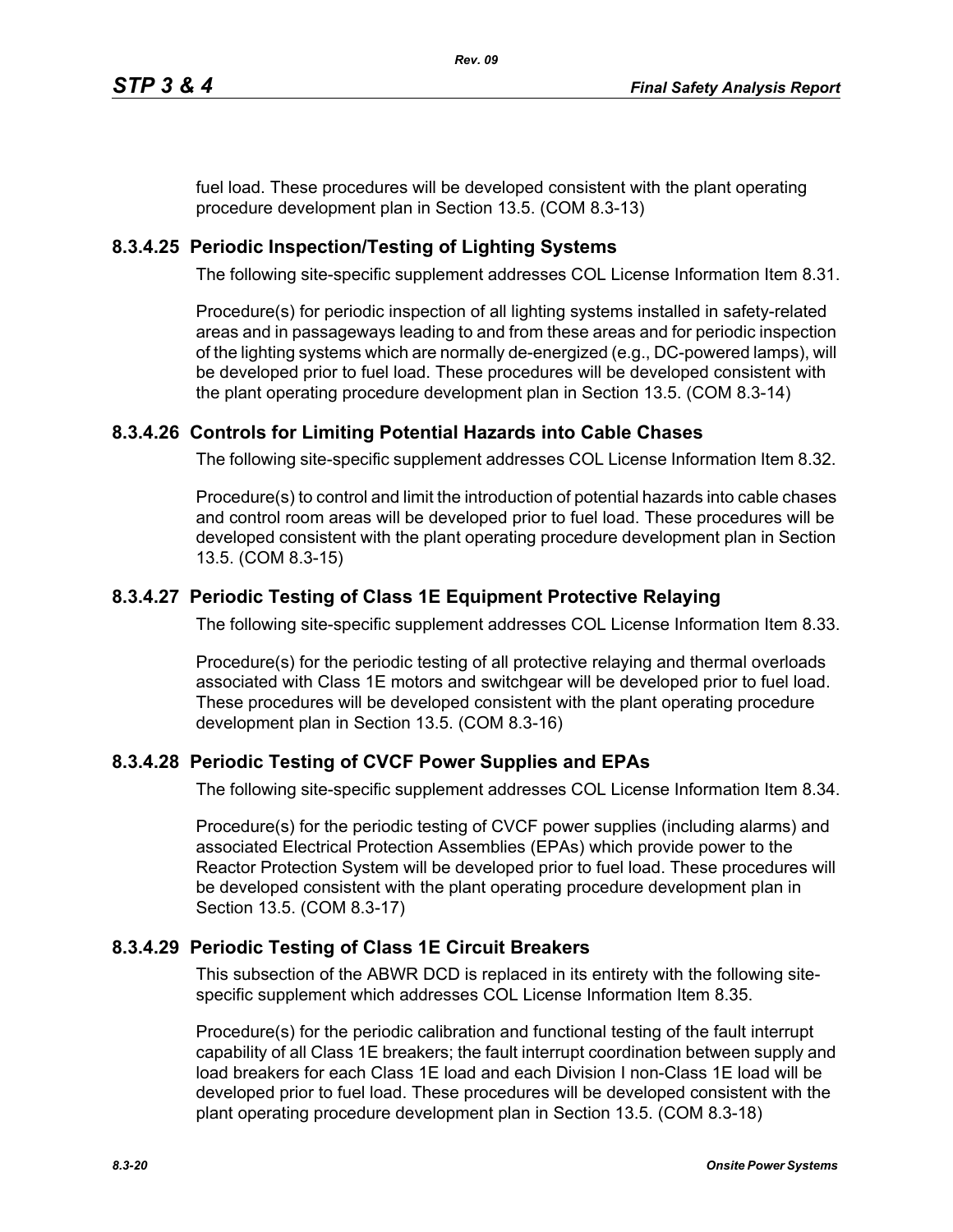fuel load. These procedures will be developed consistent with the plant operating procedure development plan in Section 13.5. (COM 8.3-13)

# **8.3.4.25 Periodic Inspection/Testing of Lighting Systems**

The following site-specific supplement addresses COL License Information Item 8.31.

Procedure(s) for periodic inspection of all lighting systems installed in safety-related areas and in passageways leading to and from these areas and for periodic inspection of the lighting systems which are normally de-energized (e.g., DC-powered lamps), will be developed prior to fuel load. These procedures will be developed consistent with the plant operating procedure development plan in Section 13.5. (COM 8.3-14)

## **8.3.4.26 Controls for Limiting Potential Hazards into Cable Chases**

The following site-specific supplement addresses COL License Information Item 8.32.

Procedure(s) to control and limit the introduction of potential hazards into cable chases and control room areas will be developed prior to fuel load. These procedures will be developed consistent with the plant operating procedure development plan in Section 13.5. (COM 8.3-15)

## **8.3.4.27 Periodic Testing of Class 1E Equipment Protective Relaying**

The following site-specific supplement addresses COL License Information Item 8.33.

Procedure(s) for the periodic testing of all protective relaying and thermal overloads associated with Class 1E motors and switchgear will be developed prior to fuel load. These procedures will be developed consistent with the plant operating procedure development plan in Section 13.5. (COM 8.3-16)

### **8.3.4.28 Periodic Testing of CVCF Power Supplies and EPAs**

The following site-specific supplement addresses COL License Information Item 8.34.

Procedure(s) for the periodic testing of CVCF power supplies (including alarms) and associated Electrical Protection Assemblies (EPAs) which provide power to the Reactor Protection System will be developed prior to fuel load. These procedures will be developed consistent with the plant operating procedure development plan in Section 13.5. (COM 8.3-17)

### **8.3.4.29 Periodic Testing of Class 1E Circuit Breakers**

This subsection of the ABWR DCD is replaced in its entirety with the following sitespecific supplement which addresses COL License Information Item 8.35.

Procedure(s) for the periodic calibration and functional testing of the fault interrupt capability of all Class 1E breakers; the fault interrupt coordination between supply and load breakers for each Class 1E load and each Division I non-Class 1E load will be developed prior to fuel load. These procedures will be developed consistent with the plant operating procedure development plan in Section 13.5. (COM 8.3-18)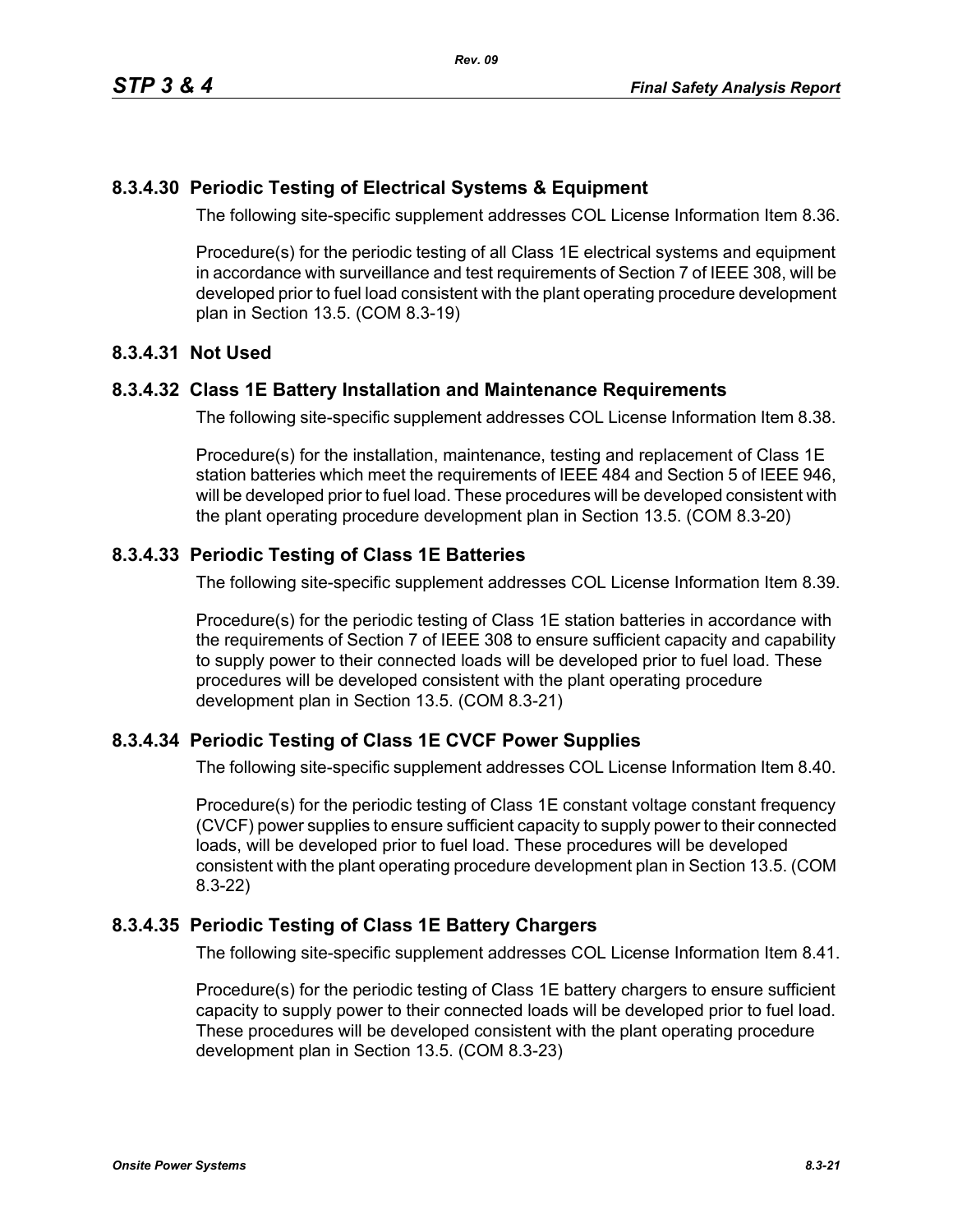## **8.3.4.30 Periodic Testing of Electrical Systems & Equipment**

The following site-specific supplement addresses COL License Information Item 8.36.

Procedure(s) for the periodic testing of all Class 1E electrical systems and equipment in accordance with surveillance and test requirements of Section 7 of IEEE 308, will be developed prior to fuel load consistent with the plant operating procedure development plan in Section 13.5. (COM 8.3-19)

### **8.3.4.31 Not Used**

### **8.3.4.32 Class 1E Battery Installation and Maintenance Requirements**

The following site-specific supplement addresses COL License Information Item 8.38.

Procedure(s) for the installation, maintenance, testing and replacement of Class 1E station batteries which meet the requirements of IEEE 484 and Section 5 of IEEE 946, will be developed prior to fuel load. These procedures will be developed consistent with the plant operating procedure development plan in Section 13.5. (COM 8.3-20)

### **8.3.4.33 Periodic Testing of Class 1E Batteries**

The following site-specific supplement addresses COL License Information Item 8.39.

Procedure(s) for the periodic testing of Class 1E station batteries in accordance with the requirements of Section 7 of IEEE 308 to ensure sufficient capacity and capability to supply power to their connected loads will be developed prior to fuel load. These procedures will be developed consistent with the plant operating procedure development plan in Section 13.5. (COM 8.3-21)

### **8.3.4.34 Periodic Testing of Class 1E CVCF Power Supplies**

The following site-specific supplement addresses COL License Information Item 8.40.

Procedure(s) for the periodic testing of Class 1E constant voltage constant frequency (CVCF) power supplies to ensure sufficient capacity to supply power to their connected loads, will be developed prior to fuel load. These procedures will be developed consistent with the plant operating procedure development plan in Section 13.5. (COM 8.3-22)

### **8.3.4.35 Periodic Testing of Class 1E Battery Chargers**

The following site-specific supplement addresses COL License Information Item 8.41.

Procedure(s) for the periodic testing of Class 1E battery chargers to ensure sufficient capacity to supply power to their connected loads will be developed prior to fuel load. These procedures will be developed consistent with the plant operating procedure development plan in Section 13.5. (COM 8.3-23)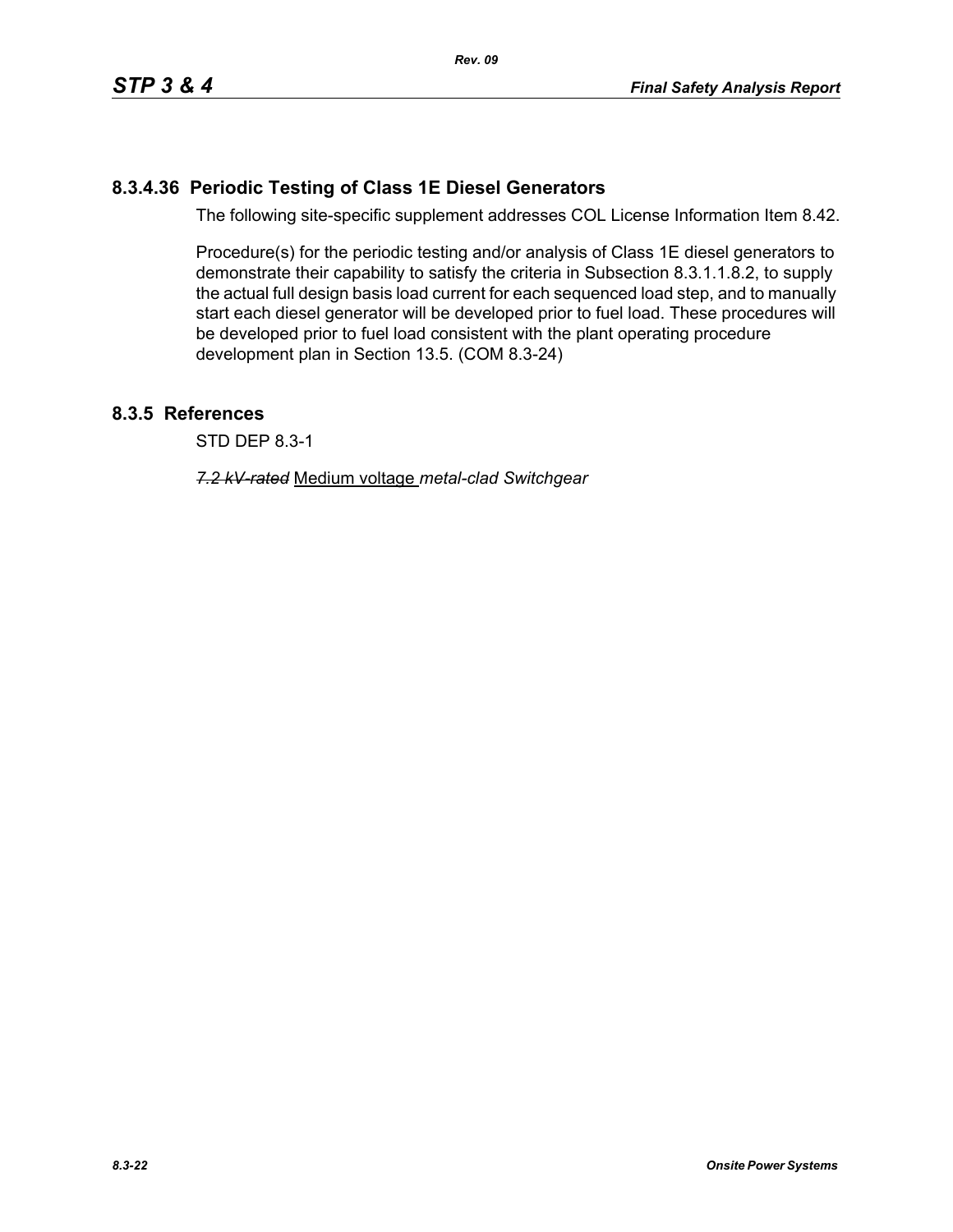# **8.3.4.36 Periodic Testing of Class 1E Diesel Generators**

The following site-specific supplement addresses COL License Information Item 8.42.

Procedure(s) for the periodic testing and/or analysis of Class 1E diesel generators to demonstrate their capability to satisfy the criteria in Subsection 8.3.1.1.8.2, to supply the actual full design basis load current for each sequenced load step, and to manually start each diesel generator will be developed prior to fuel load. These procedures will be developed prior to fuel load consistent with the plant operating procedure development plan in Section 13.5. (COM 8.3-24)

## **8.3.5 References**

STD DEP 8.3-1

*7.2 kV-rated* Medium voltage *metal-clad Switchgear*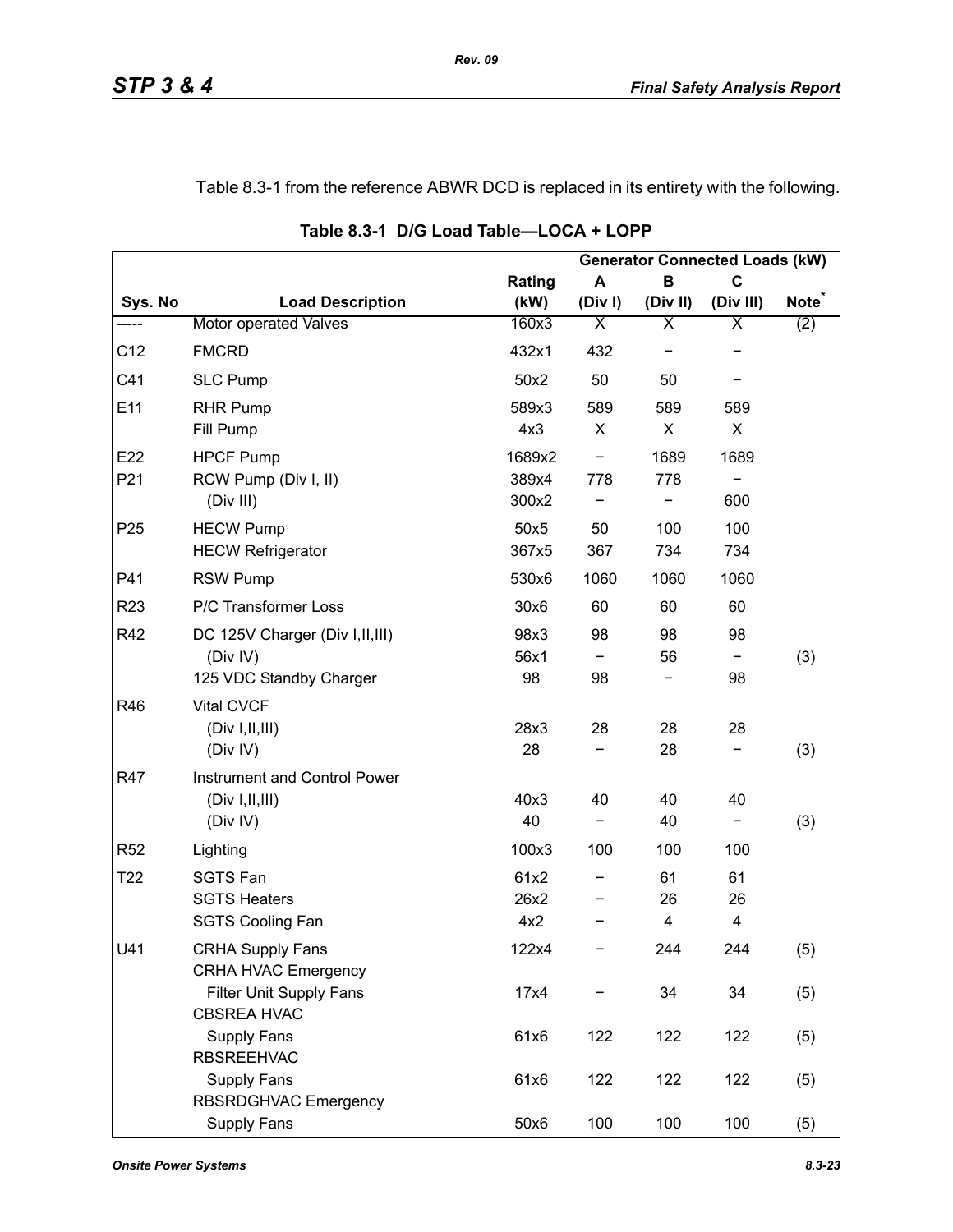## Table 8.3-1 from the reference ABWR DCD is replaced in its entirety with the following.

|                 |                                                                         |                          |           |               | <b>Generator Connected Loads (kW)</b> |                   |
|-----------------|-------------------------------------------------------------------------|--------------------------|-----------|---------------|---------------------------------------|-------------------|
|                 |                                                                         | Rating                   | A         | B             | C                                     |                   |
| Sys. No         | <b>Load Description</b>                                                 | (kW)                     | (Div)     | (Div II)      | (Div III)                             | Note <sup>®</sup> |
| -----           | Motor operated Valves                                                   | 160x3                    | Χ         | Χ             | Χ                                     | (2)               |
| C12             | <b>FMCRD</b>                                                            | 432x1                    | 432       |               |                                       |                   |
| C41             | <b>SLC Pump</b>                                                         | 50x2                     | 50        | 50            |                                       |                   |
| E11             | <b>RHR Pump</b><br>Fill Pump                                            | 589x3<br>4x3             | 589<br>X  | 589<br>X      | 589<br>X                              |                   |
| E22<br>P21      | <b>HPCF Pump</b><br>RCW Pump (Div I, II)<br>(Div III)                   | 1689x2<br>389x4<br>300x2 | -<br>778  | 1689<br>778   | 1689<br>600                           |                   |
| P <sub>25</sub> | <b>HECW Pump</b><br><b>HECW Refrigerator</b>                            | 50x5<br>367x5            | 50<br>367 | 100<br>734    | 100<br>734                            |                   |
| P41             | <b>RSW Pump</b>                                                         | 530x6                    | 1060      | 1060          | 1060                                  |                   |
| R <sub>23</sub> | P/C Transformer Loss                                                    | 30x6                     | 60        | 60            | 60                                    |                   |
| R42             | DC 125V Charger (Div I, II, III)<br>(Div IV)<br>125 VDC Standby Charger | 98x3<br>56x1<br>98       | 98<br>98  | 98<br>56      | 98<br>98                              | (3)               |
| R46             | <b>Vital CVCF</b><br>(Div I, II, III)<br>(Div IV)                       | 28x3<br>28               | 28        | 28<br>28      | 28                                    | (3)               |
| R47             | Instrument and Control Power<br>(Div I, II, III)<br>(Div IV)            | 40x3<br>40               | 40<br>-   | 40<br>40      | 40<br>-                               | (3)               |
| <b>R52</b>      | Lighting                                                                | 100x3                    | 100       | 100           | 100                                   |                   |
| T <sub>22</sub> | <b>SGTS Fan</b><br><b>SGTS Heaters</b><br><b>SGTS Cooling Fan</b>       | 61x2<br>26x2<br>4x2      |           | 61<br>26<br>4 | 61<br>26<br>4                         |                   |
| U41             | <b>CRHA Supply Fans</b><br><b>CRHA HVAC Emergency</b>                   | 122x4                    |           | 244           | 244                                   | (5)               |
|                 | Filter Unit Supply Fans<br><b>CBSREA HVAC</b>                           | 17x4                     |           | 34            | 34                                    | (5)               |
|                 | Supply Fans<br><b>RBSREEHVAC</b>                                        | 61x6                     | 122       | 122           | 122                                   | (5)               |
|                 | Supply Fans<br>RBSRDGHVAC Emergency                                     | 61x6                     | 122       | 122           | 122                                   | (5)               |
|                 | Supply Fans                                                             | 50x6                     | 100       | 100           | 100                                   | (5)               |

**Table 8.3-1 D/G Load Table—LOCA + LOPP**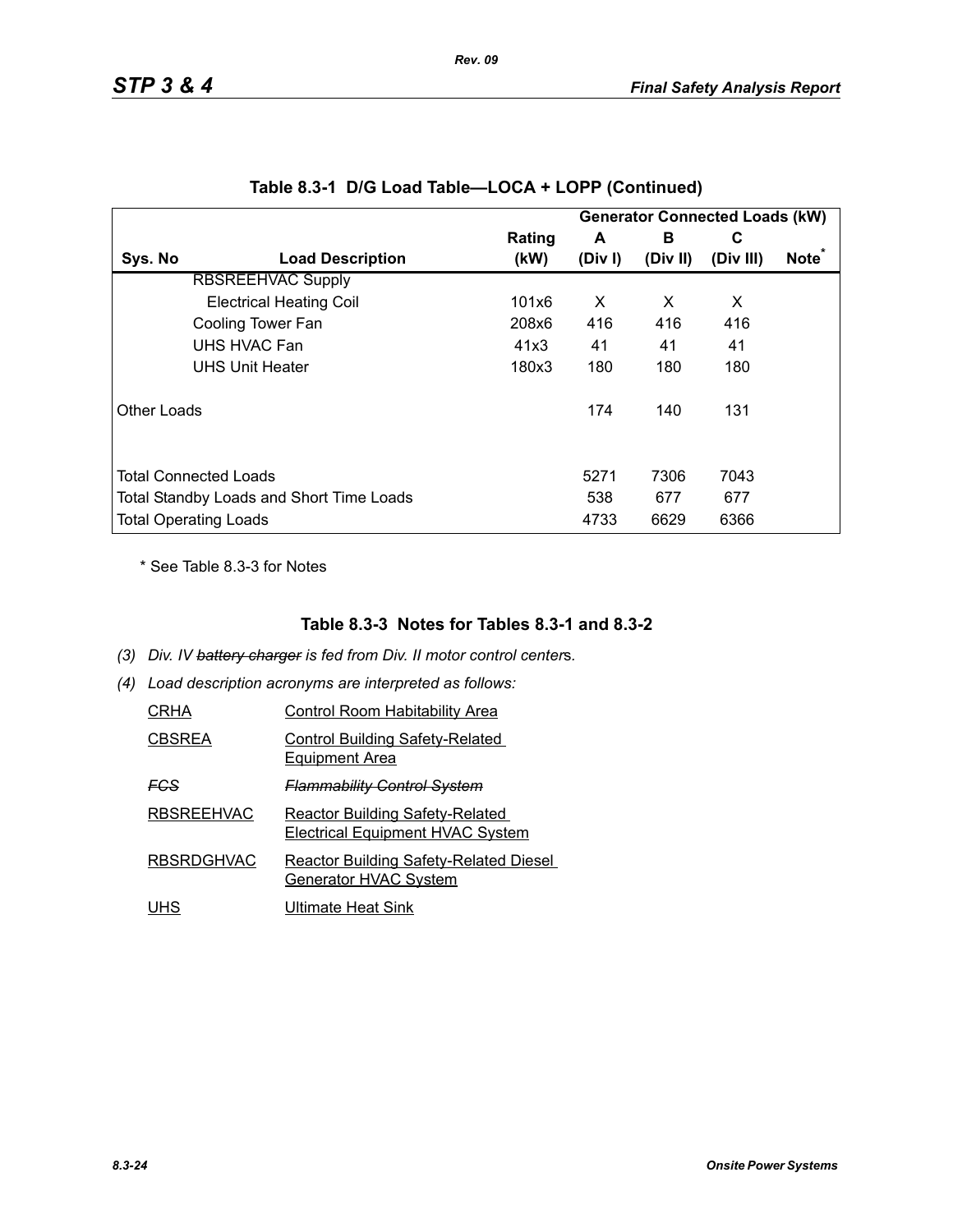|             |                                          |        |       |          | <b>Generator Connected Loads (kW)</b> |                   |
|-------------|------------------------------------------|--------|-------|----------|---------------------------------------|-------------------|
|             |                                          | Rating | A     | в        | C                                     | Note <sup>*</sup> |
| Sys. No     | <b>Load Description</b>                  | (kW)   | (Div) | (Div II) | (Div III)                             |                   |
|             | <b>RBSREEHVAC Supply</b>                 |        |       |          |                                       |                   |
|             | <b>Electrical Heating Coil</b>           | 101x6  | X     | X        | X                                     |                   |
|             | Cooling Tower Fan                        | 208x6  | 416   | 416      | 416                                   |                   |
|             | UHS HVAC Fan                             | 41x3   | 41    | 41       | 41                                    |                   |
|             | <b>UHS Unit Heater</b>                   | 180x3  | 180   | 180      | 180                                   |                   |
| Other Loads |                                          |        | 174   | 140      | 131                                   |                   |
|             | <b>Total Connected Loads</b>             |        | 5271  | 7306     | 7043                                  |                   |
|             | Total Standby Loads and Short Time Loads |        | 538   | 677      | 677                                   |                   |
|             | <b>Total Operating Loads</b>             |        | 4733  | 6629     | 6366                                  |                   |

|  |  | Table 8.3-1 D/G Load Table—LOCA + LOPP (Continued) |  |  |
|--|--|----------------------------------------------------|--|--|
|--|--|----------------------------------------------------|--|--|

*Rev. 09*

\* See Table 8.3-3 for Notes

### **Table 8.3-3 Notes for Tables 8.3-1 and 8.3-2**

- *(3) Div. IV battery charger is fed from Div. II motor control center*s*.*
- *(4) Load description acronyms are interpreted as follows:*

| CRHA          | <b>Control Room Habitability Area</b>                                             |
|---------------|-----------------------------------------------------------------------------------|
| <b>CBSREA</b> | <b>Control Building Safety-Related</b><br><b>Equipment Area</b>                   |
| FCS           | <b>Flammability Control System</b>                                                |
| RBSREEHVAC    | <b>Reactor Building Safety-Related</b><br><b>Electrical Equipment HVAC System</b> |
| RBSRDGHVAC    | <b>Reactor Building Safety-Related Diesel</b><br>Generator HVAC System            |
| UHS           | Ultimate Heat Sink                                                                |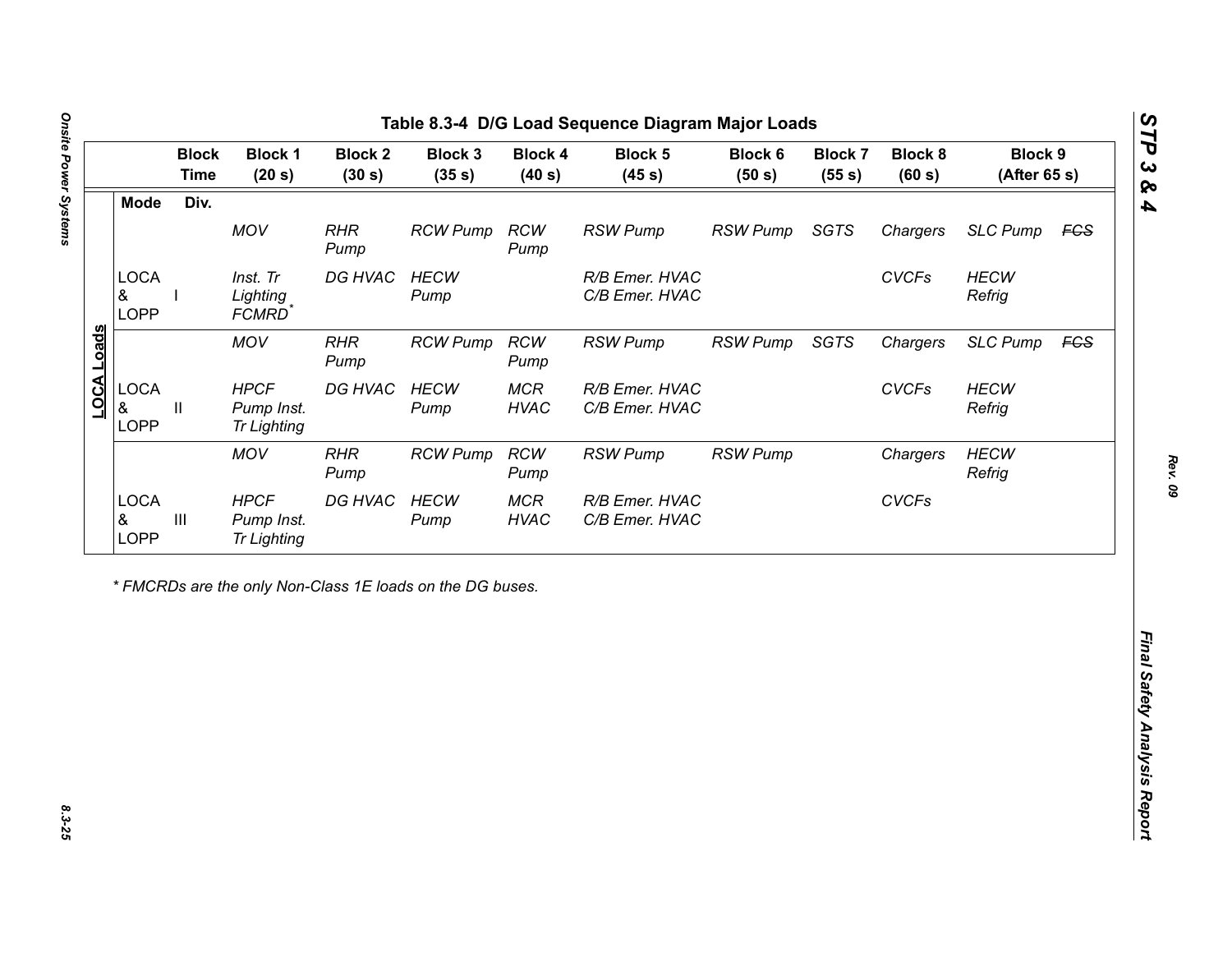| Div.<br><b>Mode</b><br>MOV<br><b>RHR</b><br><b>RCW</b><br><b>RSW Pump</b><br><b>RSW Pump</b><br><b>SGTS</b><br><b>RCW Pump</b><br>Chargers<br>Pump<br>Pump<br><b>LOCA</b><br>DG HVAC<br><b>CVCFs</b><br>Inst. Tr<br><b>HECW</b><br>R/B Emer. HVAC<br>&<br>Lighting<br>C/B Emer. HVAC<br>Refrig<br>Pump<br><b>LOPP</b><br>FCMRD <sup>*</sup><br>LOCA Loads<br><b>MOV</b><br><b>RHR</b><br><b>RCW</b><br><b>RSW Pump</b><br>SGTS<br><b>RCW Pump</b><br><b>RSW Pump</b><br>Chargers<br>Pump<br>Pump<br><b>LOCA</b><br><b>HPCF</b><br>DG HVAC<br><b>HECW</b><br><b>MCR</b><br><b>CVCFs</b><br>R/B Emer. HVAC<br>&<br>Pump Inst.<br><b>HVAC</b><br>C/B Emer. HVAC<br>Refrig<br>Ш<br>Pump<br><b>LOPP</b><br><b>Tr Lighting</b><br><b>MOV</b><br><b>RHR</b><br><b>RCW</b><br><b>RCW Pump</b><br><b>RSW Pump</b> | <b>SLC Pump</b><br><b>HECW</b><br><b>SLC Pump</b><br><b>HECW</b><br><b>HECW</b><br><b>RSW Pump</b><br>Chargers<br>Refrig<br><b>CVCFs</b> |
|----------------------------------------------------------------------------------------------------------------------------------------------------------------------------------------------------------------------------------------------------------------------------------------------------------------------------------------------------------------------------------------------------------------------------------------------------------------------------------------------------------------------------------------------------------------------------------------------------------------------------------------------------------------------------------------------------------------------------------------------------------------------------------------------------------|------------------------------------------------------------------------------------------------------------------------------------------|
|                                                                                                                                                                                                                                                                                                                                                                                                                                                                                                                                                                                                                                                                                                                                                                                                          | <b>FCS</b><br><b>FCS</b>                                                                                                                 |
|                                                                                                                                                                                                                                                                                                                                                                                                                                                                                                                                                                                                                                                                                                                                                                                                          |                                                                                                                                          |
|                                                                                                                                                                                                                                                                                                                                                                                                                                                                                                                                                                                                                                                                                                                                                                                                          |                                                                                                                                          |
|                                                                                                                                                                                                                                                                                                                                                                                                                                                                                                                                                                                                                                                                                                                                                                                                          |                                                                                                                                          |
|                                                                                                                                                                                                                                                                                                                                                                                                                                                                                                                                                                                                                                                                                                                                                                                                          |                                                                                                                                          |
| Pump<br>Pump                                                                                                                                                                                                                                                                                                                                                                                                                                                                                                                                                                                                                                                                                                                                                                                             |                                                                                                                                          |
| <b>LOCA</b><br><b>HPCF</b><br>DG HVAC<br><b>HECW</b><br><b>MCR</b><br>R/B Emer. HVAC<br>$\ensuremath{\mathsf{III}}\xspace$<br>&<br>Pump Inst.<br><b>HVAC</b><br>C/B Emer. HVAC<br>Pump<br>LOPP<br><b>Tr Lighting</b>                                                                                                                                                                                                                                                                                                                                                                                                                                                                                                                                                                                     |                                                                                                                                          |

노

*STP 3 & 4*